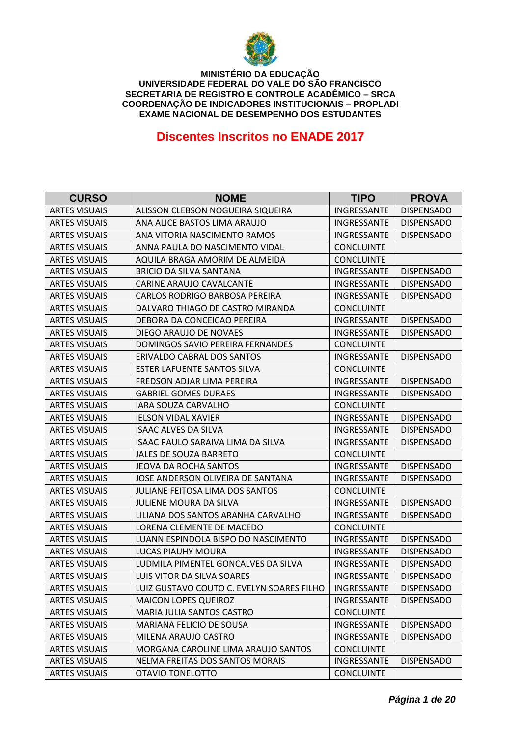

# **Discentes Inscritos no ENADE 2017**

| <b>CURSO</b>         | <b>NOME</b>                               | <b>TIPO</b>        | <b>PROVA</b>      |
|----------------------|-------------------------------------------|--------------------|-------------------|
| <b>ARTES VISUAIS</b> | ALISSON CLEBSON NOGUEIRA SIQUEIRA         | INGRESSANTE        | <b>DISPENSADO</b> |
| <b>ARTES VISUAIS</b> | ANA ALICE BASTOS LIMA ARAUJO              | INGRESSANTE        | <b>DISPENSADO</b> |
| <b>ARTES VISUAIS</b> | ANA VITORIA NASCIMENTO RAMOS              | INGRESSANTE        | <b>DISPENSADO</b> |
| <b>ARTES VISUAIS</b> | ANNA PAULA DO NASCIMENTO VIDAL            | <b>CONCLUINTE</b>  |                   |
| <b>ARTES VISUAIS</b> | AQUILA BRAGA AMORIM DE ALMEIDA            | <b>CONCLUINTE</b>  |                   |
| <b>ARTES VISUAIS</b> | BRICIO DA SILVA SANTANA                   | INGRESSANTE        | <b>DISPENSADO</b> |
| <b>ARTES VISUAIS</b> | CARINE ARAUJO CAVALCANTE                  | INGRESSANTE        | <b>DISPENSADO</b> |
| <b>ARTES VISUAIS</b> | CARLOS RODRIGO BARBOSA PEREIRA            | INGRESSANTE        | <b>DISPENSADO</b> |
| <b>ARTES VISUAIS</b> | DALVARO THIAGO DE CASTRO MIRANDA          | <b>CONCLUINTE</b>  |                   |
| <b>ARTES VISUAIS</b> | DEBORA DA CONCEICAO PEREIRA               | <b>INGRESSANTE</b> | <b>DISPENSADO</b> |
| <b>ARTES VISUAIS</b> | DIEGO ARAUJO DE NOVAES                    | INGRESSANTE        | <b>DISPENSADO</b> |
| <b>ARTES VISUAIS</b> | DOMINGOS SAVIO PEREIRA FERNANDES          | <b>CONCLUINTE</b>  |                   |
| <b>ARTES VISUAIS</b> | ERIVALDO CABRAL DOS SANTOS                | INGRESSANTE        | <b>DISPENSADO</b> |
| <b>ARTES VISUAIS</b> | <b>ESTER LAFUENTE SANTOS SILVA</b>        | <b>CONCLUINTE</b>  |                   |
| <b>ARTES VISUAIS</b> | <b>FREDSON ADJAR LIMA PEREIRA</b>         | INGRESSANTE        | <b>DISPENSADO</b> |
| <b>ARTES VISUAIS</b> | <b>GABRIEL GOMES DURAES</b>               | <b>INGRESSANTE</b> | <b>DISPENSADO</b> |
| <b>ARTES VISUAIS</b> | IARA SOUZA CARVALHO                       | <b>CONCLUINTE</b>  |                   |
| <b>ARTES VISUAIS</b> | <b>IELSON VIDAL XAVIER</b>                | INGRESSANTE        | <b>DISPENSADO</b> |
| <b>ARTES VISUAIS</b> | <b>ISAAC ALVES DA SILVA</b>               | INGRESSANTE        | <b>DISPENSADO</b> |
| <b>ARTES VISUAIS</b> | <b>ISAAC PAULO SARAIVA LIMA DA SILVA</b>  | INGRESSANTE        | <b>DISPENSADO</b> |
| <b>ARTES VISUAIS</b> | <b>JALES DE SOUZA BARRETO</b>             | <b>CONCLUINTE</b>  |                   |
| <b>ARTES VISUAIS</b> | <b>JEOVA DA ROCHA SANTOS</b>              | INGRESSANTE        | <b>DISPENSADO</b> |
| <b>ARTES VISUAIS</b> | JOSE ANDERSON OLIVEIRA DE SANTANA         | INGRESSANTE        | <b>DISPENSADO</b> |
| <b>ARTES VISUAIS</b> | <b>JULIANE FEITOSA LIMA DOS SANTOS</b>    | <b>CONCLUINTE</b>  |                   |
| <b>ARTES VISUAIS</b> | <b>JULIENE MOURA DA SILVA</b>             | INGRESSANTE        | <b>DISPENSADO</b> |
| <b>ARTES VISUAIS</b> | LILIANA DOS SANTOS ARANHA CARVALHO        | INGRESSANTE        | <b>DISPENSADO</b> |
| <b>ARTES VISUAIS</b> | LORENA CLEMENTE DE MACEDO                 | <b>CONCLUINTE</b>  |                   |
| <b>ARTES VISUAIS</b> | LUANN ESPINDOLA BISPO DO NASCIMENTO       | INGRESSANTE        | <b>DISPENSADO</b> |
| <b>ARTES VISUAIS</b> | LUCAS PIAUHY MOURA                        | INGRESSANTE        | <b>DISPENSADO</b> |
| <b>ARTES VISUAIS</b> | LUDMILA PIMENTEL GONCALVES DA SILVA       | INGRESSANTE        | <b>DISPENSADO</b> |
| <b>ARTES VISUAIS</b> | LUIS VITOR DA SILVA SOARES                | <b>INGRESSANTE</b> | <b>DISPENSADO</b> |
| <b>ARTES VISUAIS</b> | LUIZ GUSTAVO COUTO C. EVELYN SOARES FILHO | INGRESSANTE        | <b>DISPENSADO</b> |
| <b>ARTES VISUAIS</b> | <b>MAICON LOPES QUEIROZ</b>               | INGRESSANTE        | <b>DISPENSADO</b> |
| <b>ARTES VISUAIS</b> | MARIA JULIA SANTOS CASTRO                 | <b>CONCLUINTE</b>  |                   |
| <b>ARTES VISUAIS</b> | MARIANA FELICIO DE SOUSA                  | INGRESSANTE        | <b>DISPENSADO</b> |
| <b>ARTES VISUAIS</b> | MILENA ARAUJO CASTRO                      | INGRESSANTE        | <b>DISPENSADO</b> |
| <b>ARTES VISUAIS</b> | MORGANA CAROLINE LIMA ARAUJO SANTOS       | <b>CONCLUINTE</b>  |                   |
| <b>ARTES VISUAIS</b> | NELMA FREITAS DOS SANTOS MORAIS           | INGRESSANTE        | <b>DISPENSADO</b> |
| <b>ARTES VISUAIS</b> | OTAVIO TONELOTTO                          | <b>CONCLUINTE</b>  |                   |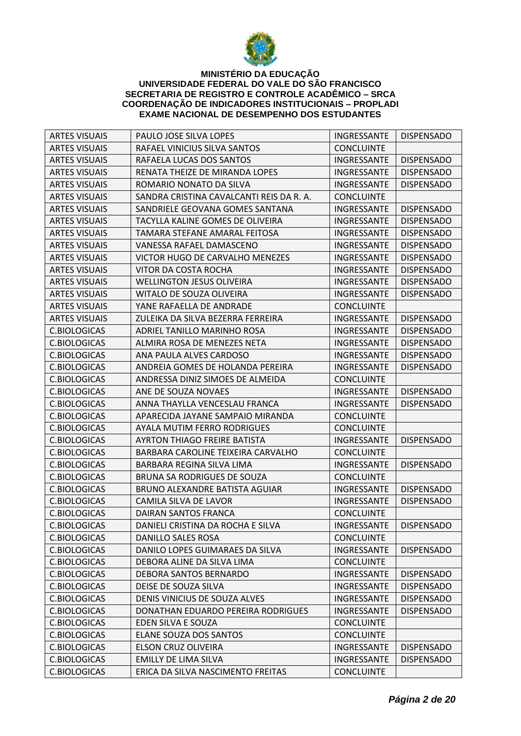

| <b>ARTES VISUAIS</b> | PAULO JOSE SILVA LOPES                   | <b>INGRESSANTE</b>       | <b>DISPENSADO</b> |
|----------------------|------------------------------------------|--------------------------|-------------------|
| <b>ARTES VISUAIS</b> | RAFAEL VINICIUS SILVA SANTOS             | <b>CONCLUINTE</b>        |                   |
| <b>ARTES VISUAIS</b> | RAFAELA LUCAS DOS SANTOS                 | <b>INGRESSANTE</b>       | <b>DISPENSADO</b> |
| <b>ARTES VISUAIS</b> | RENATA THEIZE DE MIRANDA LOPES           | INGRESSANTE              | <b>DISPENSADO</b> |
| <b>ARTES VISUAIS</b> | ROMARIO NONATO DA SILVA                  | INGRESSANTE              | <b>DISPENSADO</b> |
| <b>ARTES VISUAIS</b> | SANDRA CRISTINA CAVALCANTI REIS DA R. A. | <b>CONCLUINTE</b>        |                   |
| <b>ARTES VISUAIS</b> | SANDRIELE GEOVANA GOMES SANTANA          | INGRESSANTE              | <b>DISPENSADO</b> |
| <b>ARTES VISUAIS</b> | TACYLLA KALINE GOMES DE OLIVEIRA         | INGRESSANTE              | <b>DISPENSADO</b> |
| <b>ARTES VISUAIS</b> | TAMARA STEFANE AMARAL FEITOSA            | <b>INGRESSANTE</b>       | <b>DISPENSADO</b> |
| <b>ARTES VISUAIS</b> | VANESSA RAFAEL DAMASCENO                 | INGRESSANTE              | <b>DISPENSADO</b> |
| <b>ARTES VISUAIS</b> | VICTOR HUGO DE CARVALHO MENEZES          | INGRESSANTE              | <b>DISPENSADO</b> |
| <b>ARTES VISUAIS</b> | VITOR DA COSTA ROCHA                     | INGRESSANTE              | <b>DISPENSADO</b> |
| <b>ARTES VISUAIS</b> | <b>WELLINGTON JESUS OLIVEIRA</b>         | INGRESSANTE              | <b>DISPENSADO</b> |
| <b>ARTES VISUAIS</b> | WITALO DE SOUZA OLIVEIRA                 | <b>INGRESSANTE</b>       | <b>DISPENSADO</b> |
| <b>ARTES VISUAIS</b> | YANE RAFAELLA DE ANDRADE                 | <b>CONCLUINTE</b>        |                   |
| <b>ARTES VISUAIS</b> | ZULEIKA DA SILVA BEZERRA FERREIRA        | INGRESSANTE              | <b>DISPENSADO</b> |
| C.BIOLOGICAS         | ADRIEL TANILLO MARINHO ROSA              | INGRESSANTE              | <b>DISPENSADO</b> |
| C.BIOLOGICAS         | ALMIRA ROSA DE MENEZES NETA              | INGRESSANTE              | <b>DISPENSADO</b> |
| C.BIOLOGICAS         | ANA PAULA ALVES CARDOSO                  | INGRESSANTE              | <b>DISPENSADO</b> |
| C.BIOLOGICAS         | ANDREIA GOMES DE HOLANDA PEREIRA         | INGRESSANTE              | <b>DISPENSADO</b> |
| C.BIOLOGICAS         | ANDRESSA DINIZ SIMOES DE ALMEIDA         | <b>CONCLUINTE</b>        |                   |
| C.BIOLOGICAS         | ANE DE SOUZA NOVAES                      | INGRESSANTE              | <b>DISPENSADO</b> |
| C.BIOLOGICAS         | ANNA THAYLLA VENCESLAU FRANCA            | INGRESSANTE              | <b>DISPENSADO</b> |
| C.BIOLOGICAS         | APARECIDA JAYANE SAMPAIO MIRANDA         | <b>CONCLUINTE</b>        |                   |
| C.BIOLOGICAS         | AYALA MUTIM FERRO RODRIGUES              | <b>CONCLUINTE</b>        |                   |
| C.BIOLOGICAS         | <b>AYRTON THIAGO FREIRE BATISTA</b>      | INGRESSANTE              | <b>DISPENSADO</b> |
| C.BIOLOGICAS         | BARBARA CAROLINE TEIXEIRA CARVALHO       | <b>CONCLUINTE</b>        |                   |
| C.BIOLOGICAS         | BARBARA REGINA SILVA LIMA                | INGRESSANTE              | <b>DISPENSADO</b> |
| <b>C.BIOLOGICAS</b>  | BRUNA SA RODRIGUES DE SOUZA              | <b>CONCLUINTE</b>        |                   |
| <b>C.BIOLOGICAS</b>  | BRUNO ALEXANDRE BATISTA AGUIAR           | INGRESSANTE              | <b>DISPENSADO</b> |
| C.BIOLOGICAS         | <b>CAMILA SILVA DE LAVOR</b>             | INGRESSANTE              | <b>DISPENSADO</b> |
| C.BIOLOGICAS         | DAIRAN SANTOS FRANCA                     | <b>CONCLUINTE</b>        |                   |
| <b>C.BIOLOGICAS</b>  | DANIELI CRISTINA DA ROCHA E SILVA        | INGRESSANTE   DISPENSADO |                   |
| C.BIOLOGICAS         | DANILLO SALES ROSA                       | <b>CONCLUINTE</b>        |                   |
| C.BIOLOGICAS         | DANILO LOPES GUIMARAES DA SILVA          | INGRESSANTE              | <b>DISPENSADO</b> |
| C.BIOLOGICAS         | DEBORA ALINE DA SILVA LIMA               | <b>CONCLUINTE</b>        |                   |
| C.BIOLOGICAS         | DEBORA SANTOS BERNARDO                   | INGRESSANTE              | <b>DISPENSADO</b> |
| C.BIOLOGICAS         | DEISE DE SOUZA SILVA                     | INGRESSANTE              | <b>DISPENSADO</b> |
| C.BIOLOGICAS         | DENIS VINICIUS DE SOUZA ALVES            | INGRESSANTE              | <b>DISPENSADO</b> |
| C.BIOLOGICAS         | DONATHAN EDUARDO PEREIRA RODRIGUES       | INGRESSANTE              | <b>DISPENSADO</b> |
| C.BIOLOGICAS         | EDEN SILVA E SOUZA                       | <b>CONCLUINTE</b>        |                   |
| C.BIOLOGICAS         | ELANE SOUZA DOS SANTOS                   | <b>CONCLUINTE</b>        |                   |
| C.BIOLOGICAS         | ELSON CRUZ OLIVEIRA                      | INGRESSANTE              | <b>DISPENSADO</b> |
| C.BIOLOGICAS         | <b>EMILLY DE LIMA SILVA</b>              | INGRESSANTE              | <b>DISPENSADO</b> |
| C.BIOLOGICAS         | ERICA DA SILVA NASCIMENTO FREITAS        | <b>CONCLUINTE</b>        |                   |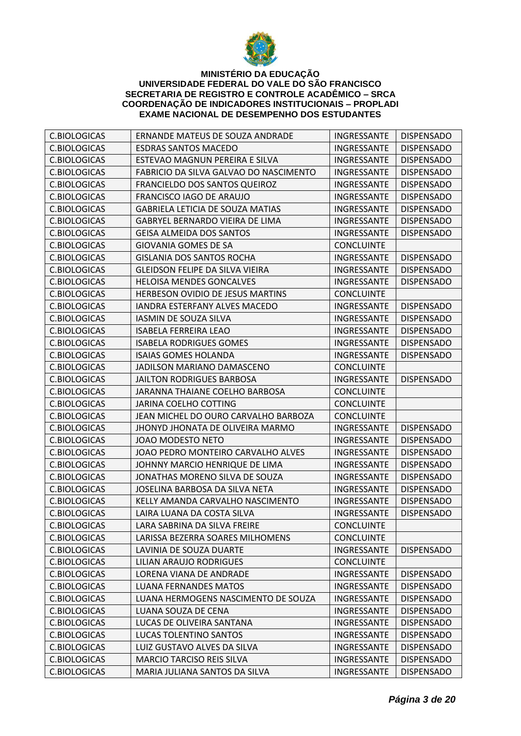

| C.BIOLOGICAS        | ERNANDE MATEUS DE SOUZA ANDRADE         | INGRESSANTE        | <b>DISPENSADO</b> |
|---------------------|-----------------------------------------|--------------------|-------------------|
| C.BIOLOGICAS        | <b>ESDRAS SANTOS MACEDO</b>             | INGRESSANTE        | <b>DISPENSADO</b> |
| C.BIOLOGICAS        | ESTEVAO MAGNUN PEREIRA E SILVA          | INGRESSANTE        | <b>DISPENSADO</b> |
| C.BIOLOGICAS        | FABRICIO DA SILVA GALVAO DO NASCIMENTO  | INGRESSANTE        | <b>DISPENSADO</b> |
| C.BIOLOGICAS        | FRANCIELDO DOS SANTOS QUEIROZ           | INGRESSANTE        | <b>DISPENSADO</b> |
| <b>C.BIOLOGICAS</b> | FRANCISCO IAGO DE ARAUJO                | INGRESSANTE        | <b>DISPENSADO</b> |
| <b>C.BIOLOGICAS</b> | <b>GABRIELA LETICIA DE SOUZA MATIAS</b> | INGRESSANTE        | <b>DISPENSADO</b> |
| C.BIOLOGICAS        | GABRYEL BERNARDO VIEIRA DE LIMA         | INGRESSANTE        | <b>DISPENSADO</b> |
| C.BIOLOGICAS        | <b>GEISA ALMEIDA DOS SANTOS</b>         | <b>INGRESSANTE</b> | <b>DISPENSADO</b> |
| <b>C.BIOLOGICAS</b> | <b>GIOVANIA GOMES DE SA</b>             | <b>CONCLUINTE</b>  |                   |
| C.BIOLOGICAS        | <b>GISLANIA DOS SANTOS ROCHA</b>        | INGRESSANTE        | <b>DISPENSADO</b> |
| <b>C.BIOLOGICAS</b> | <b>GLEIDSON FELIPE DA SILVA VIEIRA</b>  | INGRESSANTE        | <b>DISPENSADO</b> |
| C.BIOLOGICAS        | <b>HELOISA MENDES GONCALVES</b>         | INGRESSANTE        | <b>DISPENSADO</b> |
| C.BIOLOGICAS        | HERBESON OVIDIO DE JESUS MARTINS        | <b>CONCLUINTE</b>  |                   |
| C.BIOLOGICAS        | IANDRA ESTERFANY ALVES MACEDO           | <b>INGRESSANTE</b> | <b>DISPENSADO</b> |
| C.BIOLOGICAS        | <b>IASMIN DE SOUZA SILVA</b>            | INGRESSANTE        | <b>DISPENSADO</b> |
| C.BIOLOGICAS        | <b>ISABELA FERREIRA LEAO</b>            | INGRESSANTE        | <b>DISPENSADO</b> |
| <b>C.BIOLOGICAS</b> | <b>ISABELA RODRIGUES GOMES</b>          | INGRESSANTE        | <b>DISPENSADO</b> |
| C.BIOLOGICAS        | <b>ISAIAS GOMES HOLANDA</b>             | INGRESSANTE        | <b>DISPENSADO</b> |
| C.BIOLOGICAS        | JADILSON MARIANO DAMASCENO              | <b>CONCLUINTE</b>  |                   |
| <b>C.BIOLOGICAS</b> | <b>JAILTON RODRIGUES BARBOSA</b>        | INGRESSANTE        | <b>DISPENSADO</b> |
| C.BIOLOGICAS        | JARANNA THAIANE COELHO BARBOSA          | <b>CONCLUINTE</b>  |                   |
| C.BIOLOGICAS        | JARINA COELHO COTTING                   | <b>CONCLUINTE</b>  |                   |
| C.BIOLOGICAS        | JEAN MICHEL DO OURO CARVALHO BARBOZA    | <b>CONCLUINTE</b>  |                   |
| C.BIOLOGICAS        | JHONYD JHONATA DE OLIVEIRA MARMO        | INGRESSANTE        | <b>DISPENSADO</b> |
| C.BIOLOGICAS        | JOAO MODESTO NETO                       | INGRESSANTE        | <b>DISPENSADO</b> |
| C.BIOLOGICAS        | JOAO PEDRO MONTEIRO CARVALHO ALVES      | INGRESSANTE        | <b>DISPENSADO</b> |
| C.BIOLOGICAS        | JOHNNY MARCIO HENRIQUE DE LIMA          | INGRESSANTE        | <b>DISPENSADO</b> |
| C.BIOLOGICAS        | JONATHAS MORENO SILVA DE SOUZA          | INGRESSANTE        | <b>DISPENSADO</b> |
| C.BIOLOGICAS        | JOSELINA BARBOSA DA SILVA NETA          | INGRESSANTE        | <b>DISPENSADO</b> |
| <b>C.BIOLOGICAS</b> | KELLY AMANDA CARVALHO NASCIMENTO        | INGRESSANTE        | <b>DISPENSADO</b> |
| <b>C.BIOLOGICAS</b> | LAIRA LUANA DA COSTA SILVA              | INGRESSANTE        | <b>DISPENSADO</b> |
| <b>C.BIOLOGICAS</b> | LARA SABRINA DA SILVA FREIRE            | <b>CONCLUINTE</b>  |                   |
| C.BIOLOGICAS        | LARISSA BEZERRA SOARES MILHOMENS        | <b>CONCLUINTE</b>  |                   |
| C.BIOLOGICAS        | LAVINIA DE SOUZA DUARTE                 | INGRESSANTE        | <b>DISPENSADO</b> |
| C.BIOLOGICAS        | <b>LILIAN ARAUJO RODRIGUES</b>          | <b>CONCLUINTE</b>  |                   |
| <b>C.BIOLOGICAS</b> | LORENA VIANA DE ANDRADE                 | INGRESSANTE        | <b>DISPENSADO</b> |
| C.BIOLOGICAS        | <b>LUANA FERNANDES MATOS</b>            | INGRESSANTE        | <b>DISPENSADO</b> |
| C.BIOLOGICAS        | LUANA HERMOGENS NASCIMENTO DE SOUZA     | INGRESSANTE        | <b>DISPENSADO</b> |
| C.BIOLOGICAS        | LUANA SOUZA DE CENA                     | INGRESSANTE        | <b>DISPENSADO</b> |
| C.BIOLOGICAS        | LUCAS DE OLIVEIRA SANTANA               | INGRESSANTE        | <b>DISPENSADO</b> |
| C.BIOLOGICAS        | <b>LUCAS TOLENTINO SANTOS</b>           | INGRESSANTE        | <b>DISPENSADO</b> |
| C.BIOLOGICAS        | LUIZ GUSTAVO ALVES DA SILVA             | INGRESSANTE        | <b>DISPENSADO</b> |
| C.BIOLOGICAS        | <b>MARCIO TARCISO REIS SILVA</b>        | INGRESSANTE        | <b>DISPENSADO</b> |
| C.BIOLOGICAS        | MARIA JULIANA SANTOS DA SILVA           | INGRESSANTE        | <b>DISPENSADO</b> |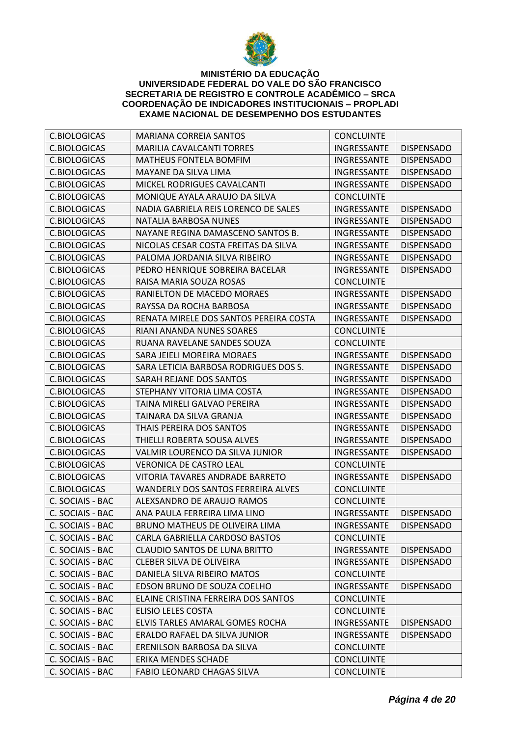

| <b>C.BIOLOGICAS</b> | <b>MARIANA CORREIA SANTOS</b>             | <b>CONCLUINTE</b>        |                   |
|---------------------|-------------------------------------------|--------------------------|-------------------|
| C.BIOLOGICAS        | <b>MARILIA CAVALCANTI TORRES</b>          | INGRESSANTE              | <b>DISPENSADO</b> |
| C.BIOLOGICAS        | <b>MATHEUS FONTELA BOMFIM</b>             | INGRESSANTE              | <b>DISPENSADO</b> |
| C.BIOLOGICAS        | MAYANE DA SILVA LIMA                      | INGRESSANTE              | <b>DISPENSADO</b> |
| C.BIOLOGICAS        | MICKEL RODRIGUES CAVALCANTI               | INGRESSANTE              | <b>DISPENSADO</b> |
| <b>C.BIOLOGICAS</b> | MONIQUE AYALA ARAUJO DA SILVA             | <b>CONCLUINTE</b>        |                   |
| C.BIOLOGICAS        | NADIA GABRIELA REIS LORENCO DE SALES      | INGRESSANTE              | <b>DISPENSADO</b> |
| C.BIOLOGICAS        | NATALIA BARBOSA NUNES                     | INGRESSANTE              | <b>DISPENSADO</b> |
| C.BIOLOGICAS        | NAYANE REGINA DAMASCENO SANTOS B.         | <b>INGRESSANTE</b>       | <b>DISPENSADO</b> |
| <b>C.BIOLOGICAS</b> | NICOLAS CESAR COSTA FREITAS DA SILVA      | INGRESSANTE              | <b>DISPENSADO</b> |
| <b>C.BIOLOGICAS</b> | PALOMA JORDANIA SILVA RIBEIRO             | INGRESSANTE              | <b>DISPENSADO</b> |
| C.BIOLOGICAS        | PEDRO HENRIQUE SOBREIRA BACELAR           | <b>INGRESSANTE</b>       | <b>DISPENSADO</b> |
| C.BIOLOGICAS        | RAISA MARIA SOUZA ROSAS                   | <b>CONCLUINTE</b>        |                   |
| C.BIOLOGICAS        | RANIELTON DE MACEDO MORAES                | INGRESSANTE              | <b>DISPENSADO</b> |
| C.BIOLOGICAS        | RAYSSA DA ROCHA BARBOSA                   | <b>INGRESSANTE</b>       | <b>DISPENSADO</b> |
| C.BIOLOGICAS        | RENATA MIRELE DOS SANTOS PEREIRA COSTA    | INGRESSANTE              | <b>DISPENSADO</b> |
| C.BIOLOGICAS        | RIANI ANANDA NUNES SOARES                 | <b>CONCLUINTE</b>        |                   |
| C.BIOLOGICAS        | RUANA RAVELANE SANDES SOUZA               | <b>CONCLUINTE</b>        |                   |
| C.BIOLOGICAS        | SARA JEIELI MOREIRA MORAES                | INGRESSANTE              | <b>DISPENSADO</b> |
| <b>C.BIOLOGICAS</b> | SARA LETICIA BARBOSA RODRIGUES DOS S.     | INGRESSANTE              | <b>DISPENSADO</b> |
| <b>C.BIOLOGICAS</b> | SARAH REJANE DOS SANTOS                   | INGRESSANTE              | <b>DISPENSADO</b> |
| C.BIOLOGICAS        | STEPHANY VITORIA LIMA COSTA               | INGRESSANTE              | <b>DISPENSADO</b> |
| C.BIOLOGICAS        | TAINA MIRELI GALVAO PEREIRA               | INGRESSANTE              | <b>DISPENSADO</b> |
| C.BIOLOGICAS        | TAINARA DA SILVA GRANJA                   | INGRESSANTE              | <b>DISPENSADO</b> |
| C.BIOLOGICAS        | THAIS PEREIRA DOS SANTOS                  | INGRESSANTE              | <b>DISPENSADO</b> |
| C.BIOLOGICAS        | THIELLI ROBERTA SOUSA ALVES               | INGRESSANTE              | <b>DISPENSADO</b> |
| C.BIOLOGICAS        | VALMIR LOURENCO DA SILVA JUNIOR           | INGRESSANTE              | <b>DISPENSADO</b> |
| C.BIOLOGICAS        | <b>VERONICA DE CASTRO LEAL</b>            | <b>CONCLUINTE</b>        |                   |
| C.BIOLOGICAS        | VITORIA TAVARES ANDRADE BARRETO           | INGRESSANTE              | <b>DISPENSADO</b> |
| C.BIOLOGICAS        | <b>WANDERLY DOS SANTOS FERREIRA ALVES</b> | <b>CONCLUINTE</b>        |                   |
| C. SOCIAIS - BAC    | ALEXSANDRO DE ARAUJO RAMOS                | <b>CONCLUINTE</b>        |                   |
| C. SOCIAIS - BAC    | ANA PAULA FERREIRA LIMA LINO              | INGRESSANTE              | <b>DISPENSADO</b> |
| C. SOCIAIS - BAC    | BRUNO MATHEUS DE OLIVEIRA LIMA            | INGRESSANTE   DISPENSADO |                   |
| C. SOCIAIS - BAC    | CARLA GABRIELLA CARDOSO BASTOS            | <b>CONCLUINTE</b>        |                   |
| C. SOCIAIS - BAC    | <b>CLAUDIO SANTOS DE LUNA BRITTO</b>      | INGRESSANTE              | <b>DISPENSADO</b> |
| C. SOCIAIS - BAC    | <b>CLEBER SILVA DE OLIVEIRA</b>           | INGRESSANTE              | <b>DISPENSADO</b> |
| C. SOCIAIS - BAC    | DANIELA SILVA RIBEIRO MATOS               | <b>CONCLUINTE</b>        |                   |
| C. SOCIAIS - BAC    | EDSON BRUNO DE SOUZA COELHO               | INGRESSANTE              | <b>DISPENSADO</b> |
| C. SOCIAIS - BAC    | ELAINE CRISTINA FERREIRA DOS SANTOS       | <b>CONCLUINTE</b>        |                   |
| C. SOCIAIS - BAC    | <b>ELISIO LELES COSTA</b>                 | <b>CONCLUINTE</b>        |                   |
| C. SOCIAIS - BAC    | ELVIS TARLES AMARAL GOMES ROCHA           | INGRESSANTE              | <b>DISPENSADO</b> |
| C. SOCIAIS - BAC    | ERALDO RAFAEL DA SILVA JUNIOR             | INGRESSANTE              | <b>DISPENSADO</b> |
| C. SOCIAIS - BAC    | ERENILSON BARBOSA DA SILVA                | <b>CONCLUINTE</b>        |                   |
| C. SOCIAIS - BAC    | ERIKA MENDES SCHADE                       | <b>CONCLUINTE</b>        |                   |
| C. SOCIAIS - BAC    | FABIO LEONARD CHAGAS SILVA                | <b>CONCLUINTE</b>        |                   |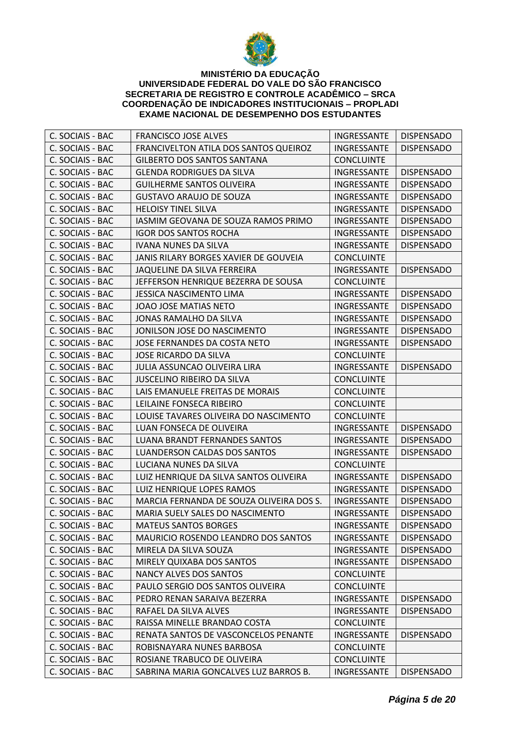

| C. SOCIAIS - BAC | <b>FRANCISCO JOSE ALVES</b>              | INGRESSANTE       | <b>DISPENSADO</b> |
|------------------|------------------------------------------|-------------------|-------------------|
| C. SOCIAIS - BAC | FRANCIVELTON ATILA DOS SANTOS QUEIROZ    | INGRESSANTE       | <b>DISPENSADO</b> |
| C. SOCIAIS - BAC | <b>GILBERTO DOS SANTOS SANTANA</b>       | <b>CONCLUINTE</b> |                   |
| C. SOCIAIS - BAC | <b>GLENDA RODRIGUES DA SILVA</b>         | INGRESSANTE       | <b>DISPENSADO</b> |
| C. SOCIAIS - BAC | <b>GUILHERME SANTOS OLIVEIRA</b>         | INGRESSANTE       | <b>DISPENSADO</b> |
| C. SOCIAIS - BAC | <b>GUSTAVO ARAUJO DE SOUZA</b>           | INGRESSANTE       | <b>DISPENSADO</b> |
| C. SOCIAIS - BAC | <b>HELOISY TINEL SILVA</b>               | INGRESSANTE       | <b>DISPENSADO</b> |
| C. SOCIAIS - BAC | IASMIM GEOVANA DE SOUZA RAMOS PRIMO      | INGRESSANTE       | <b>DISPENSADO</b> |
| C. SOCIAIS - BAC | <b>IGOR DOS SANTOS ROCHA</b>             | INGRESSANTE       | <b>DISPENSADO</b> |
| C. SOCIAIS - BAC | <b>IVANA NUNES DA SILVA</b>              | INGRESSANTE       | <b>DISPENSADO</b> |
| C. SOCIAIS - BAC | JANIS RILARY BORGES XAVIER DE GOUVEIA    | <b>CONCLUINTE</b> |                   |
| C. SOCIAIS - BAC | JAQUELINE DA SILVA FERREIRA              | INGRESSANTE       | <b>DISPENSADO</b> |
| C. SOCIAIS - BAC | JEFFERSON HENRIQUE BEZERRA DE SOUSA      | <b>CONCLUINTE</b> |                   |
| C. SOCIAIS - BAC | <b>JESSICA NASCIMENTO LIMA</b>           | INGRESSANTE       | <b>DISPENSADO</b> |
| C. SOCIAIS - BAC | JOAO JOSE MATIAS NETO                    | INGRESSANTE       | <b>DISPENSADO</b> |
| C. SOCIAIS - BAC | JONAS RAMALHO DA SILVA                   | INGRESSANTE       | <b>DISPENSADO</b> |
| C. SOCIAIS - BAC | JONILSON JOSE DO NASCIMENTO              | INGRESSANTE       | <b>DISPENSADO</b> |
| C. SOCIAIS - BAC | JOSE FERNANDES DA COSTA NETO             | INGRESSANTE       | <b>DISPENSADO</b> |
| C. SOCIAIS - BAC | <b>JOSE RICARDO DA SILVA</b>             | <b>CONCLUINTE</b> |                   |
| C. SOCIAIS - BAC | JULIA ASSUNCAO OLIVEIRA LIRA             | INGRESSANTE       | <b>DISPENSADO</b> |
| C. SOCIAIS - BAC | <b>JUSCELINO RIBEIRO DA SILVA</b>        | <b>CONCLUINTE</b> |                   |
| C. SOCIAIS - BAC | LAIS EMANUELE FREITAS DE MORAIS          | <b>CONCLUINTE</b> |                   |
| C. SOCIAIS - BAC | LEILAINE FONSECA RIBEIRO                 | <b>CONCLUINTE</b> |                   |
| C. SOCIAIS - BAC | LOUISE TAVARES OLIVEIRA DO NASCIMENTO    | <b>CONCLUINTE</b> |                   |
| C. SOCIAIS - BAC | LUAN FONSECA DE OLIVEIRA                 | INGRESSANTE       | <b>DISPENSADO</b> |
| C. SOCIAIS - BAC | LUANA BRANDT FERNANDES SANTOS            | INGRESSANTE       | <b>DISPENSADO</b> |
| C. SOCIAIS - BAC | LUANDERSON CALDAS DOS SANTOS             | INGRESSANTE       | <b>DISPENSADO</b> |
| C. SOCIAIS - BAC | LUCIANA NUNES DA SILVA                   | <b>CONCLUINTE</b> |                   |
| C. SOCIAIS - BAC | LUIZ HENRIQUE DA SILVA SANTOS OLIVEIRA   | INGRESSANTE       | <b>DISPENSADO</b> |
| C. SOCIAIS - BAC | LUIZ HENRIQUE LOPES RAMOS                | INGRESSANTE       | <b>DISPENSADO</b> |
| C. SOCIAIS - BAC | MARCIA FERNANDA DE SOUZA OLIVEIRA DOS S. | INGRESSANTE       | <b>DISPENSADO</b> |
| C. SOCIAIS - BAC | MARIA SUELY SALES DO NASCIMENTO          | INGRESSANTE       | <b>DISPENSADO</b> |
| C. SOCIAIS - BAC | <b>MATEUS SANTOS BORGES</b>              | INGRESSANTE       | <b>DISPENSADO</b> |
| C. SOCIAIS - BAC | MAURICIO ROSENDO LEANDRO DOS SANTOS      | INGRESSANTE       | <b>DISPENSADO</b> |
| C. SOCIAIS - BAC | MIRELA DA SILVA SOUZA                    | INGRESSANTE       | <b>DISPENSADO</b> |
| C. SOCIAIS - BAC | MIRELY QUIXABA DOS SANTOS                | INGRESSANTE       | <b>DISPENSADO</b> |
| C. SOCIAIS - BAC | <b>NANCY ALVES DOS SANTOS</b>            | <b>CONCLUINTE</b> |                   |
| C. SOCIAIS - BAC | PAULO SERGIO DOS SANTOS OLIVEIRA         | <b>CONCLUINTE</b> |                   |
| C. SOCIAIS - BAC | PEDRO RENAN SARAIVA BEZERRA              | INGRESSANTE       | <b>DISPENSADO</b> |
| C. SOCIAIS - BAC | RAFAEL DA SILVA ALVES                    | INGRESSANTE       | <b>DISPENSADO</b> |
| C. SOCIAIS - BAC | RAISSA MINELLE BRANDAO COSTA             | <b>CONCLUINTE</b> |                   |
| C. SOCIAIS - BAC | RENATA SANTOS DE VASCONCELOS PENANTE     | INGRESSANTE       | <b>DISPENSADO</b> |
| C. SOCIAIS - BAC | ROBISNAYARA NUNES BARBOSA                | <b>CONCLUINTE</b> |                   |
| C. SOCIAIS - BAC | ROSIANE TRABUCO DE OLIVEIRA              | <b>CONCLUINTE</b> |                   |
| C. SOCIAIS - BAC | SABRINA MARIA GONCALVES LUZ BARROS B.    | INGRESSANTE       | <b>DISPENSADO</b> |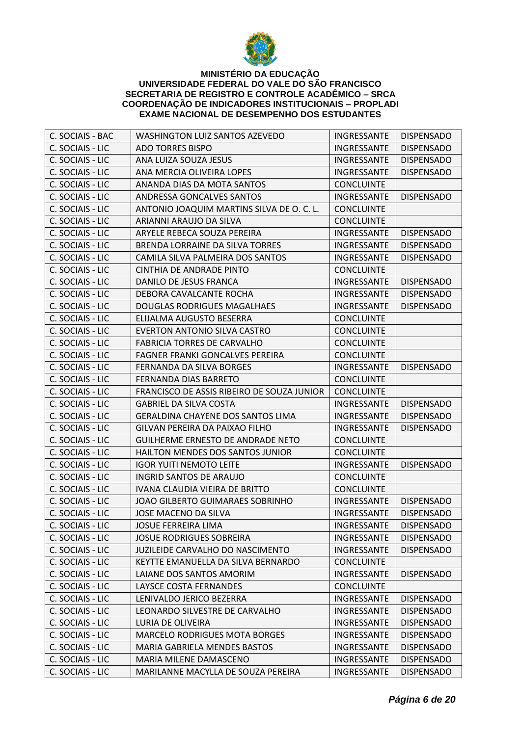

| C. SOCIAIS - BAC | <b>WASHINGTON LUIZ SANTOS AZEVEDO</b>      | INGRESSANTE              | <b>DISPENSADO</b> |
|------------------|--------------------------------------------|--------------------------|-------------------|
| C. SOCIAIS - LIC | <b>ADO TORRES BISPO</b>                    | INGRESSANTE              | <b>DISPENSADO</b> |
| C. SOCIAIS - LIC | ANA LUIZA SOUZA JESUS                      | <b>INGRESSANTE</b>       | <b>DISPENSADO</b> |
| C. SOCIAIS - LIC | ANA MERCIA OLIVEIRA LOPES                  | INGRESSANTE              | <b>DISPENSADO</b> |
| C. SOCIAIS - LIC | ANANDA DIAS DA MOTA SANTOS                 | <b>CONCLUINTE</b>        |                   |
| C. SOCIAIS - LIC | ANDRESSA GONCALVES SANTOS                  | <b>INGRESSANTE</b>       | <b>DISPENSADO</b> |
| C. SOCIAIS - LIC | ANTONIO JOAQUIM MARTINS SILVA DE O. C. L.  | <b>CONCLUINTE</b>        |                   |
| C. SOCIAIS - LIC | ARIANNI ARAUJO DA SILVA                    | <b>CONCLUINTE</b>        |                   |
| C. SOCIAIS - LIC | ARYELE REBECA SOUZA PEREIRA                | INGRESSANTE              | <b>DISPENSADO</b> |
| C. SOCIAIS - LIC | BRENDA LORRAINE DA SILVA TORRES            | INGRESSANTE              | <b>DISPENSADO</b> |
| C. SOCIAIS - LIC | CAMILA SILVA PALMEIRA DOS SANTOS           | INGRESSANTE              | <b>DISPENSADO</b> |
| C. SOCIAIS - LIC | CINTHIA DE ANDRADE PINTO                   | <b>CONCLUINTE</b>        |                   |
| C. SOCIAIS - LIC | DANILO DE JESUS FRANCA                     | INGRESSANTE              | <b>DISPENSADO</b> |
| C. SOCIAIS - LIC | DEBORA CAVALCANTE ROCHA                    | INGRESSANTE              | <b>DISPENSADO</b> |
| C. SOCIAIS - LIC | <b>DOUGLAS RODRIGUES MAGALHAES</b>         | INGRESSANTE              | <b>DISPENSADO</b> |
| C. SOCIAIS - LIC | ELIJALMA AUGUSTO BESERRA                   | <b>CONCLUINTE</b>        |                   |
| C. SOCIAIS - LIC | EVERTON ANTONIO SILVA CASTRO               | <b>CONCLUINTE</b>        |                   |
| C. SOCIAIS - LIC | <b>FABRICIA TORRES DE CARVALHO</b>         | <b>CONCLUINTE</b>        |                   |
| C. SOCIAIS - LIC | FAGNER FRANKI GONCALVES PEREIRA            | <b>CONCLUINTE</b>        |                   |
| C. SOCIAIS - LIC | FERNANDA DA SILVA BORGES                   | INGRESSANTE              | <b>DISPENSADO</b> |
| C. SOCIAIS - LIC | FERNANDA DIAS BARRETO                      | <b>CONCLUINTE</b>        |                   |
| C. SOCIAIS - LIC | FRANCISCO DE ASSIS RIBEIRO DE SOUZA JUNIOR | <b>CONCLUINTE</b>        |                   |
| C. SOCIAIS - LIC | <b>GABRIEL DA SILVA COSTA</b>              | INGRESSANTE              | <b>DISPENSADO</b> |
| C. SOCIAIS - LIC | GERALDINA CHAYENE DOS SANTOS LIMA          | INGRESSANTE              | <b>DISPENSADO</b> |
| C. SOCIAIS - LIC | GILVAN PEREIRA DA PAIXAO FILHO             | INGRESSANTE              | <b>DISPENSADO</b> |
| C. SOCIAIS - LIC | <b>GUILHERME ERNESTO DE ANDRADE NETO</b>   | <b>CONCLUINTE</b>        |                   |
| C. SOCIAIS - LIC | HAILTON MENDES DOS SANTOS JUNIOR           | <b>CONCLUINTE</b>        |                   |
| C. SOCIAIS - LIC | <b>IGOR YUITI NEMOTO LEITE</b>             | INGRESSANTE              | <b>DISPENSADO</b> |
| C. SOCIAIS - LIC | <b>INGRID SANTOS DE ARAUJO</b>             | <b>CONCLUINTE</b>        |                   |
| C. SOCIAIS - LIC | IVANA CLAUDIA VIEIRA DE BRITTO             | <b>CONCLUINTE</b>        |                   |
| C. SOCIAIS - LIC | <b>JOAO GILBERTO GUIMARAES SOBRINHO</b>    | INGRESSANTE              | <b>DISPENSADO</b> |
| C. SOCIAIS - LIC | JOSE MACENO DA SILVA                       | INGRESSANTE              | <b>DISPENSADO</b> |
| C. SOCIAIS - LIC | JOSUE FERREIRA LIMA                        | INGRESSANTE   DISPENSADO |                   |
| C. SOCIAIS - LIC | <b>JOSUE RODRIGUES SOBREIRA</b>            | INGRESSANTE              | <b>DISPENSADO</b> |
| C. SOCIAIS - LIC | JUZILEIDE CARVALHO DO NASCIMENTO           | INGRESSANTE              | <b>DISPENSADO</b> |
| C. SOCIAIS - LIC | KEYTTE EMANUELLA DA SILVA BERNARDO         | <b>CONCLUINTE</b>        |                   |
| C. SOCIAIS - LIC | LAIANE DOS SANTOS AMORIM                   | INGRESSANTE              | <b>DISPENSADO</b> |
| C. SOCIAIS - LIC | LAYSCE COSTA FERNANDES                     | <b>CONCLUINTE</b>        |                   |
| C. SOCIAIS - LIC | LENIVALDO JERICO BEZERRA                   | INGRESSANTE              | <b>DISPENSADO</b> |
| C. SOCIAIS - LIC | LEONARDO SILVESTRE DE CARVALHO             | INGRESSANTE              | <b>DISPENSADO</b> |
| C. SOCIAIS - LIC | LURIA DE OLIVEIRA                          | INGRESSANTE              | <b>DISPENSADO</b> |
| C. SOCIAIS - LIC | <b>MARCELO RODRIGUES MOTA BORGES</b>       | INGRESSANTE              | <b>DISPENSADO</b> |
| C. SOCIAIS - LIC | <b>MARIA GABRIELA MENDES BASTOS</b>        | INGRESSANTE              | <b>DISPENSADO</b> |
| C. SOCIAIS - LIC | MARIA MILENE DAMASCENO                     | INGRESSANTE              | <b>DISPENSADO</b> |
| C. SOCIAIS - LIC | MARILANNE MACYLLA DE SOUZA PEREIRA         | INGRESSANTE              | <b>DISPENSADO</b> |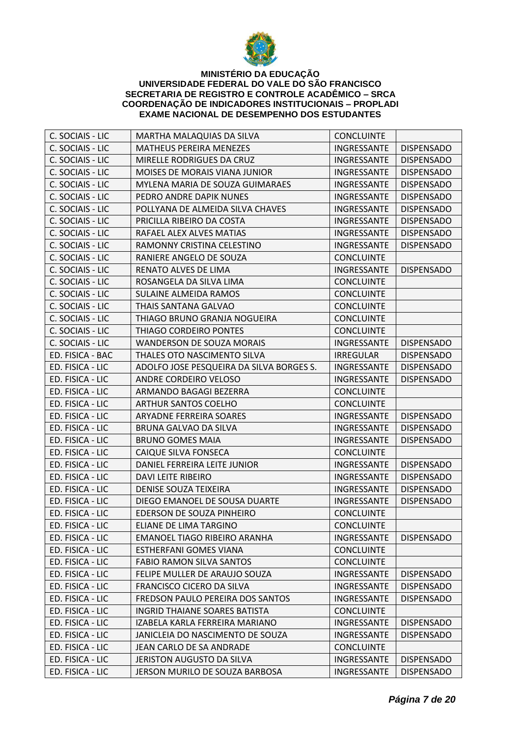

| C. SOCIAIS - LIC | MARTHA MALAQUIAS DA SILVA                | <b>CONCLUINTE</b> |                   |
|------------------|------------------------------------------|-------------------|-------------------|
| C. SOCIAIS - LIC | <b>MATHEUS PEREIRA MENEZES</b>           | INGRESSANTE       | <b>DISPENSADO</b> |
| C. SOCIAIS - LIC | MIRELLE RODRIGUES DA CRUZ                | INGRESSANTE       | <b>DISPENSADO</b> |
| C. SOCIAIS - LIC | MOISES DE MORAIS VIANA JUNIOR            | INGRESSANTE       | <b>DISPENSADO</b> |
| C. SOCIAIS - LIC | MYLENA MARIA DE SOUZA GUIMARAES          | INGRESSANTE       | <b>DISPENSADO</b> |
| C. SOCIAIS - LIC | PEDRO ANDRE DAPIK NUNES                  | INGRESSANTE       | <b>DISPENSADO</b> |
| C. SOCIAIS - LIC | POLLYANA DE ALMEIDA SILVA CHAVES         | INGRESSANTE       | <b>DISPENSADO</b> |
| C. SOCIAIS - LIC | PRICILLA RIBEIRO DA COSTA                | INGRESSANTE       | <b>DISPENSADO</b> |
| C. SOCIAIS - LIC | RAFAEL ALEX ALVES MATIAS                 | INGRESSANTE       | <b>DISPENSADO</b> |
| C. SOCIAIS - LIC | RAMONNY CRISTINA CELESTINO               | INGRESSANTE       | <b>DISPENSADO</b> |
| C. SOCIAIS - LIC | RANIERE ANGELO DE SOUZA                  | <b>CONCLUINTE</b> |                   |
| C. SOCIAIS - LIC | RENATO ALVES DE LIMA                     | INGRESSANTE       | <b>DISPENSADO</b> |
| C. SOCIAIS - LIC | ROSANGELA DA SILVA LIMA                  | <b>CONCLUINTE</b> |                   |
| C. SOCIAIS - LIC | SULAINE ALMEIDA RAMOS                    | <b>CONCLUINTE</b> |                   |
| C. SOCIAIS - LIC | THAIS SANTANA GALVAO                     | <b>CONCLUINTE</b> |                   |
| C. SOCIAIS - LIC | THIAGO BRUNO GRANJA NOGUEIRA             | <b>CONCLUINTE</b> |                   |
| C. SOCIAIS - LIC | THIAGO CORDEIRO PONTES                   | <b>CONCLUINTE</b> |                   |
| C. SOCIAIS - LIC | <b>WANDERSON DE SOUZA MORAIS</b>         | INGRESSANTE       | <b>DISPENSADO</b> |
| ED. FISICA - BAC | THALES OTO NASCIMENTO SILVA              | <b>IRREGULAR</b>  | <b>DISPENSADO</b> |
| ED. FISICA - LIC | ADOLFO JOSE PESQUEIRA DA SILVA BORGES S. | INGRESSANTE       | <b>DISPENSADO</b> |
| ED. FISICA - LIC | ANDRE CORDEIRO VELOSO                    | INGRESSANTE       | <b>DISPENSADO</b> |
| ED. FISICA - LIC | ARMANDO BAGAGI BEZERRA                   | <b>CONCLUINTE</b> |                   |
| ED. FISICA - LIC | <b>ARTHUR SANTOS COELHO</b>              | <b>CONCLUINTE</b> |                   |
| ED. FISICA - LIC | ARYADNE FERREIRA SOARES                  | INGRESSANTE       | <b>DISPENSADO</b> |
| ED. FISICA - LIC | BRUNA GALVAO DA SILVA                    | INGRESSANTE       | <b>DISPENSADO</b> |
| ED. FISICA - LIC | <b>BRUNO GOMES MAIA</b>                  | INGRESSANTE       | <b>DISPENSADO</b> |
| ED. FISICA - LIC | CAIQUE SILVA FONSECA                     | <b>CONCLUINTE</b> |                   |
| ED. FISICA - LIC | DANIEL FERREIRA LEITE JUNIOR             | INGRESSANTE       | <b>DISPENSADO</b> |
| ED. FISICA - LIC | <b>DAVI LEITE RIBEIRO</b>                | INGRESSANTE       | <b>DISPENSADO</b> |
| ED. FISICA - LIC | <b>DENISE SOUZA TEIXEIRA</b>             | INGRESSANTE       | <b>DISPENSADO</b> |
| ED. FISICA - LIC | DIEGO EMANOEL DE SOUSA DUARTE            | INGRESSANTE       | <b>DISPENSADO</b> |
| ED. FISICA - LIC | EDERSON DE SOUZA PINHEIRO                | <b>CONCLUINTE</b> |                   |
| ED. FISICA - LIC | ELIANE DE LIMA TARGINO                   | <b>CONCLUINTE</b> |                   |
| ED. FISICA - LIC | EMANOEL TIAGO RIBEIRO ARANHA             | INGRESSANTE       | <b>DISPENSADO</b> |
| ED. FISICA - LIC | <b>ESTHERFANI GOMES VIANA</b>            | <b>CONCLUINTE</b> |                   |
| ED. FISICA - LIC | <b>FABIO RAMON SILVA SANTOS</b>          | <b>CONCLUINTE</b> |                   |
| ED. FISICA - LIC | FELIPE MULLER DE ARAUJO SOUZA            | INGRESSANTE       | <b>DISPENSADO</b> |
| ED. FISICA - LIC | FRANCISCO CICERO DA SILVA                | INGRESSANTE       | <b>DISPENSADO</b> |
| ED. FISICA - LIC | FREDSON PAULO PEREIRA DOS SANTOS         | INGRESSANTE       | <b>DISPENSADO</b> |
| ED. FISICA - LIC | INGRID THAIANE SOARES BATISTA            | <b>CONCLUINTE</b> |                   |
| ED. FISICA - LIC | IZABELA KARLA FERREIRA MARIANO           | INGRESSANTE       | <b>DISPENSADO</b> |
| ED. FISICA - LIC | JANICLEIA DO NASCIMENTO DE SOUZA         | INGRESSANTE       | <b>DISPENSADO</b> |
| ED. FISICA - LIC | JEAN CARLO DE SA ANDRADE                 | <b>CONCLUINTE</b> |                   |
| ED. FISICA - LIC | JERISTON AUGUSTO DA SILVA                | INGRESSANTE       | <b>DISPENSADO</b> |
| ED. FISICA - LIC | JERSON MURILO DE SOUZA BARBOSA           | INGRESSANTE       | <b>DISPENSADO</b> |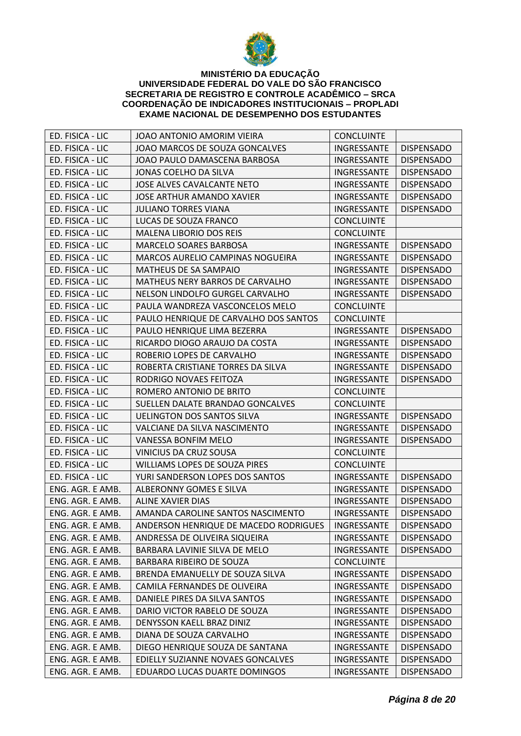

| ED. FISICA - LIC | JOAO ANTONIO AMORIM VIEIRA                                       | <b>CONCLUINTE</b> |                   |
|------------------|------------------------------------------------------------------|-------------------|-------------------|
| ED. FISICA - LIC | JOAO MARCOS DE SOUZA GONCALVES                                   | INGRESSANTE       | <b>DISPENSADO</b> |
| ED. FISICA - LIC | JOAO PAULO DAMASCENA BARBOSA                                     | INGRESSANTE       | <b>DISPENSADO</b> |
| ED. FISICA - LIC | JONAS COELHO DA SILVA                                            | INGRESSANTE       | <b>DISPENSADO</b> |
| ED. FISICA - LIC | JOSE ALVES CAVALCANTE NETO                                       | INGRESSANTE       | <b>DISPENSADO</b> |
| ED. FISICA - LIC | <b>JOSE ARTHUR AMANDO XAVIER</b>                                 | INGRESSANTE       | <b>DISPENSADO</b> |
| ED. FISICA - LIC | <b>JULIANO TORRES VIANA</b>                                      | INGRESSANTE       | <b>DISPENSADO</b> |
| ED. FISICA - LIC | LUCAS DE SOUZA FRANCO                                            | <b>CONCLUINTE</b> |                   |
| ED. FISICA - LIC | <b>MALENA LIBORIO DOS REIS</b>                                   | <b>CONCLUINTE</b> |                   |
| ED. FISICA - LIC | <b>MARCELO SOARES BARBOSA</b>                                    | INGRESSANTE       | <b>DISPENSADO</b> |
| ED. FISICA - LIC | MARCOS AURELIO CAMPINAS NOGUEIRA                                 | INGRESSANTE       | <b>DISPENSADO</b> |
| ED. FISICA - LIC | MATHEUS DE SA SAMPAIO                                            | INGRESSANTE       | <b>DISPENSADO</b> |
| ED. FISICA - LIC | MATHEUS NERY BARROS DE CARVALHO                                  | INGRESSANTE       | <b>DISPENSADO</b> |
| ED. FISICA - LIC | NELSON LINDOLFO GURGEL CARVALHO                                  | INGRESSANTE       | <b>DISPENSADO</b> |
| ED. FISICA - LIC | PAULA WANDREZA VASCONCELOS MELO                                  | <b>CONCLUINTE</b> |                   |
| ED. FISICA - LIC | PAULO HENRIQUE DE CARVALHO DOS SANTOS                            | <b>CONCLUINTE</b> |                   |
| ED. FISICA - LIC | PAULO HENRIQUE LIMA BEZERRA                                      | INGRESSANTE       | <b>DISPENSADO</b> |
| ED. FISICA - LIC | RICARDO DIOGO ARAUJO DA COSTA                                    | INGRESSANTE       | <b>DISPENSADO</b> |
| ED. FISICA - LIC | ROBERIO LOPES DE CARVALHO                                        | INGRESSANTE       | <b>DISPENSADO</b> |
| ED. FISICA - LIC | ROBERTA CRISTIANE TORRES DA SILVA                                | INGRESSANTE       | <b>DISPENSADO</b> |
| ED. FISICA - LIC | RODRIGO NOVAES FEITOZA                                           | INGRESSANTE       | <b>DISPENSADO</b> |
| ED. FISICA - LIC | ROMERO ANTONIO DE BRITO                                          | <b>CONCLUINTE</b> |                   |
| ED. FISICA - LIC | SUELLEN DALATE BRANDAO GONCALVES                                 | <b>CONCLUINTE</b> |                   |
| ED. FISICA - LIC | <b>UELINGTON DOS SANTOS SILVA</b>                                | INGRESSANTE       | <b>DISPENSADO</b> |
| ED. FISICA - LIC | VALCIANE DA SILVA NASCIMENTO                                     | INGRESSANTE       | <b>DISPENSADO</b> |
| ED. FISICA - LIC | <b>VANESSA BONFIM MELO</b>                                       | INGRESSANTE       | <b>DISPENSADO</b> |
| ED. FISICA - LIC | VINICIUS DA CRUZ SOUSA                                           | <b>CONCLUINTE</b> |                   |
| ED. FISICA - LIC | WILLIAMS LOPES DE SOUZA PIRES                                    | <b>CONCLUINTE</b> |                   |
| ED. FISICA - LIC | YURI SANDERSON LOPES DOS SANTOS                                  | INGRESSANTE       | <b>DISPENSADO</b> |
| ENG. AGR. E AMB. | ALBERONNY GOMES E SILVA                                          | INGRESSANTE       | <b>DISPENSADO</b> |
| ENG. AGR. E AMB. | <b>ALINE XAVIER DIAS</b>                                         | INGRESSANTE       | <b>DISPENSADO</b> |
| ENG. AGR. E AMB. | AMANDA CAROLINE SANTOS NASCIMENTO                                | INGRESSANTE       | <b>DISPENSADO</b> |
| ENG. AGR. E AMB. | ANDERSON HENRIQUE DE MACEDO RODRIGUES   INGRESSANTE   DISPENSADO |                   |                   |
| ENG. AGR. E AMB. | ANDRESSA DE OLIVEIRA SIQUEIRA                                    | INGRESSANTE       | <b>DISPENSADO</b> |
| ENG. AGR. E AMB. | BARBARA LAVINIE SILVA DE MELO                                    | INGRESSANTE       | <b>DISPENSADO</b> |
| ENG. AGR. E AMB. | BARBARA RIBEIRO DE SOUZA                                         | <b>CONCLUINTE</b> |                   |
| ENG. AGR. E AMB. | BRENDA EMANUELLY DE SOUZA SILVA                                  | INGRESSANTE       | <b>DISPENSADO</b> |
| ENG. AGR. E AMB. | CAMILA FERNANDES DE OLIVEIRA                                     | INGRESSANTE       | <b>DISPENSADO</b> |
| ENG. AGR. E AMB. | DANIELE PIRES DA SILVA SANTOS                                    | INGRESSANTE       | <b>DISPENSADO</b> |
| ENG. AGR. E AMB. | DARIO VICTOR RABELO DE SOUZA                                     | INGRESSANTE       | <b>DISPENSADO</b> |
| ENG. AGR. E AMB. | DENYSSON KAELL BRAZ DINIZ                                        | INGRESSANTE       | <b>DISPENSADO</b> |
| ENG. AGR. E AMB. | DIANA DE SOUZA CARVALHO                                          | INGRESSANTE       | <b>DISPENSADO</b> |
| ENG. AGR. E AMB. | DIEGO HENRIQUE SOUZA DE SANTANA                                  | INGRESSANTE       | <b>DISPENSADO</b> |
| ENG. AGR. E AMB. | EDIELLY SUZIANNE NOVAES GONCALVES                                | INGRESSANTE       | <b>DISPENSADO</b> |
| ENG. AGR. E AMB. | EDUARDO LUCAS DUARTE DOMINGOS                                    | INGRESSANTE       | <b>DISPENSADO</b> |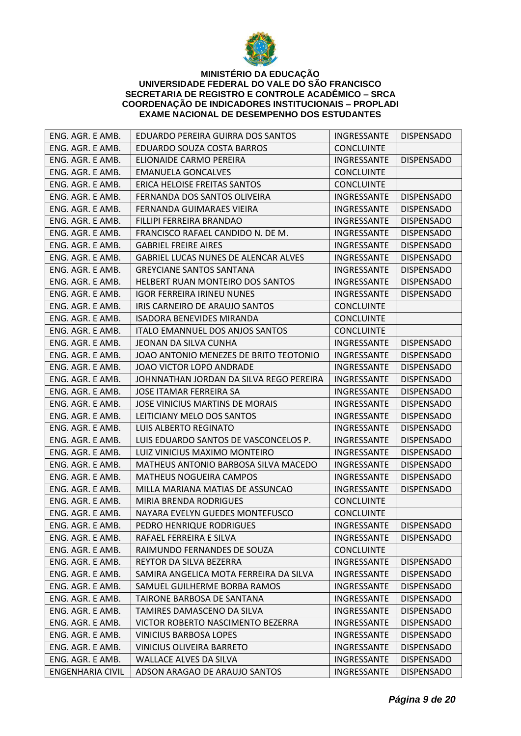

| ENG. AGR. E AMB.        | EDUARDO PEREIRA GUIRRA DOS SANTOS       | INGRESSANTE              | <b>DISPENSADO</b> |
|-------------------------|-----------------------------------------|--------------------------|-------------------|
| ENG. AGR. E AMB.        | EDUARDO SOUZA COSTA BARROS              | <b>CONCLUINTE</b>        |                   |
| ENG. AGR. E AMB.        | ELIONAIDE CARMO PEREIRA                 | INGRESSANTE              | <b>DISPENSADO</b> |
| ENG. AGR. E AMB.        | <b>EMANUELA GONCALVES</b>               | <b>CONCLUINTE</b>        |                   |
| ENG. AGR. E AMB.        | ERICA HELOISE FREITAS SANTOS            | <b>CONCLUINTE</b>        |                   |
| ENG. AGR. E AMB.        | FERNANDA DOS SANTOS OLIVEIRA            | INGRESSANTE              | <b>DISPENSADO</b> |
| ENG. AGR. E AMB.        | FERNANDA GUIMARAES VIEIRA               | INGRESSANTE              | <b>DISPENSADO</b> |
| ENG. AGR. E AMB.        | FILLIPI FERREIRA BRANDAO                | INGRESSANTE              | <b>DISPENSADO</b> |
| ENG. AGR. E AMB.        | FRANCISCO RAFAEL CANDIDO N. DE M.       | INGRESSANTE              | <b>DISPENSADO</b> |
| ENG. AGR. E AMB.        | <b>GABRIEL FREIRE AIRES</b>             | INGRESSANTE              | <b>DISPENSADO</b> |
| ENG. AGR. E AMB.        | GABRIEL LUCAS NUNES DE ALENCAR ALVES    | INGRESSANTE              | <b>DISPENSADO</b> |
| ENG. AGR. E AMB.        | <b>GREYCIANE SANTOS SANTANA</b>         | INGRESSANTE              | <b>DISPENSADO</b> |
| ENG. AGR. E AMB.        | HELBERT RUAN MONTEIRO DOS SANTOS        | INGRESSANTE              | <b>DISPENSADO</b> |
| ENG. AGR. E AMB.        | <b>IGOR FERREIRA IRINEU NUNES</b>       | INGRESSANTE              | <b>DISPENSADO</b> |
| ENG. AGR. E AMB.        | IRIS CARNEIRO DE ARAUJO SANTOS          | <b>CONCLUINTE</b>        |                   |
| ENG. AGR. E AMB.        | <b>ISADORA BENEVIDES MIRANDA</b>        | <b>CONCLUINTE</b>        |                   |
| ENG. AGR. E AMB.        | ITALO EMANNUEL DOS ANJOS SANTOS         | <b>CONCLUINTE</b>        |                   |
| ENG. AGR. E AMB.        | JEONAN DA SILVA CUNHA                   | INGRESSANTE              | <b>DISPENSADO</b> |
| ENG. AGR. E AMB.        | JOAO ANTONIO MENEZES DE BRITO TEOTONIO  | INGRESSANTE              | <b>DISPENSADO</b> |
| ENG. AGR. E AMB.        | JOAO VICTOR LOPO ANDRADE                | INGRESSANTE              | <b>DISPENSADO</b> |
| ENG. AGR. E AMB.        | JOHNNATHAN JORDAN DA SILVA REGO PEREIRA | INGRESSANTE              | <b>DISPENSADO</b> |
| ENG. AGR. E AMB.        | JOSE ITAMAR FERREIRA SA                 | INGRESSANTE              | <b>DISPENSADO</b> |
| ENG. AGR. E AMB.        | JOSE VINICIUS MARTINS DE MORAIS         | INGRESSANTE              | <b>DISPENSADO</b> |
| ENG. AGR. E AMB.        | LEITICIANY MELO DOS SANTOS              | INGRESSANTE              | <b>DISPENSADO</b> |
| ENG. AGR. E AMB.        | <b>LUIS ALBERTO REGINATO</b>            | INGRESSANTE              | <b>DISPENSADO</b> |
| ENG. AGR. E AMB.        | LUIS EDUARDO SANTOS DE VASCONCELOS P.   | INGRESSANTE              | <b>DISPENSADO</b> |
| ENG. AGR. E AMB.        | LUIZ VINICIUS MAXIMO MONTEIRO           | INGRESSANTE              | <b>DISPENSADO</b> |
| ENG. AGR. E AMB.        | MATHEUS ANTONIO BARBOSA SILVA MACEDO    | INGRESSANTE              | <b>DISPENSADO</b> |
| ENG. AGR. E AMB.        | <b>MATHEUS NOGUEIRA CAMPOS</b>          | INGRESSANTE              | <b>DISPENSADO</b> |
| ENG. AGR. E AMB.        | MILLA MARIANA MATIAS DE ASSUNCAO        | INGRESSANTE              | <b>DISPENSADO</b> |
| ENG. AGR. E AMB.        | MIRIA BRENDA RODRIGUES                  | <b>CONCLUINTE</b>        |                   |
| ENG. AGR. E AMB.        | NAYARA EVELYN GUEDES MONTEFUSCO         | <b>CONCLUINTE</b>        |                   |
| ENG. AGR. E AMB.        | PEDRO HENRIQUE RODRIGUES                | INGRESSANTE   DISPENSADO |                   |
| ENG. AGR. E AMB.        | RAFAEL FERREIRA E SILVA                 | <b>INGRESSANTE</b>       | <b>DISPENSADO</b> |
| ENG. AGR. E AMB.        | RAIMUNDO FERNANDES DE SOUZA             | <b>CONCLUINTE</b>        |                   |
| ENG. AGR. E AMB.        | REYTOR DA SILVA BEZERRA                 | INGRESSANTE              | <b>DISPENSADO</b> |
| ENG. AGR. E AMB.        | SAMIRA ANGELICA MOTA FERREIRA DA SILVA  | INGRESSANTE              | <b>DISPENSADO</b> |
| ENG. AGR. E AMB.        | SAMUEL GUILHERME BORBA RAMOS            | INGRESSANTE              | <b>DISPENSADO</b> |
| ENG. AGR. E AMB.        | TAIRONE BARBOSA DE SANTANA              | INGRESSANTE              | <b>DISPENSADO</b> |
| ENG. AGR. E AMB.        | TAMIRES DAMASCENO DA SILVA              | INGRESSANTE              | <b>DISPENSADO</b> |
| ENG. AGR. E AMB.        | VICTOR ROBERTO NASCIMENTO BEZERRA       | INGRESSANTE              | <b>DISPENSADO</b> |
| ENG. AGR. E AMB.        | VINICIUS BARBOSA LOPES                  | <b>INGRESSANTE</b>       | <b>DISPENSADO</b> |
| ENG. AGR. E AMB.        | VINICIUS OLIVEIRA BARRETO               | INGRESSANTE              | <b>DISPENSADO</b> |
| ENG. AGR. E AMB.        | <b>WALLACE ALVES DA SILVA</b>           | INGRESSANTE              | <b>DISPENSADO</b> |
| <b>ENGENHARIA CIVIL</b> | ADSON ARAGAO DE ARAUJO SANTOS           | INGRESSANTE              | <b>DISPENSADO</b> |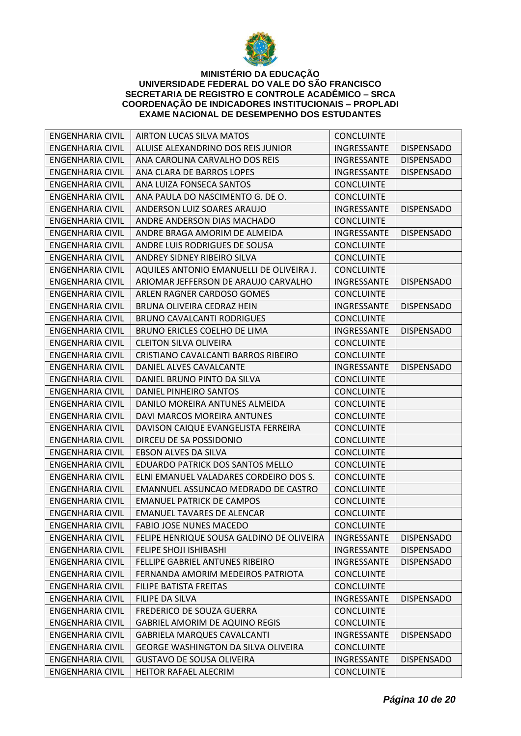

| <b>ENGENHARIA CIVIL</b> | <b>AIRTON LUCAS SILVA MATOS</b>            | <b>CONCLUINTE</b> |                   |
|-------------------------|--------------------------------------------|-------------------|-------------------|
| ENGENHARIA CIVIL        | ALUISE ALEXANDRINO DOS REIS JUNIOR         | INGRESSANTE       | <b>DISPENSADO</b> |
| <b>ENGENHARIA CIVIL</b> | ANA CAROLINA CARVALHO DOS REIS             | INGRESSANTE       | <b>DISPENSADO</b> |
| <b>ENGENHARIA CIVIL</b> | ANA CLARA DE BARROS LOPES                  | INGRESSANTE       | <b>DISPENSADO</b> |
| <b>ENGENHARIA CIVIL</b> | ANA LUIZA FONSECA SANTOS                   | <b>CONCLUINTE</b> |                   |
| <b>ENGENHARIA CIVIL</b> | ANA PAULA DO NASCIMENTO G. DE O.           | <b>CONCLUINTE</b> |                   |
| ENGENHARIA CIVIL        | ANDERSON LUIZ SOARES ARAUJO                | INGRESSANTE       | <b>DISPENSADO</b> |
| ENGENHARIA CIVIL        | ANDRE ANDERSON DIAS MACHADO                | <b>CONCLUINTE</b> |                   |
| ENGENHARIA CIVIL        | ANDRE BRAGA AMORIM DE ALMEIDA              | INGRESSANTE       | <b>DISPENSADO</b> |
| <b>ENGENHARIA CIVIL</b> | ANDRE LUIS RODRIGUES DE SOUSA              | <b>CONCLUINTE</b> |                   |
| <b>ENGENHARIA CIVIL</b> | ANDREY SIDNEY RIBEIRO SILVA                | <b>CONCLUINTE</b> |                   |
| ENGENHARIA CIVIL        | AQUILES ANTONIO EMANUELLI DE OLIVEIRA J.   | <b>CONCLUINTE</b> |                   |
| <b>ENGENHARIA CIVIL</b> | ARIOMAR JEFFERSON DE ARAUJO CARVALHO       | INGRESSANTE       | <b>DISPENSADO</b> |
| ENGENHARIA CIVIL        | ARLEN RAGNER CARDOSO GOMES                 | <b>CONCLUINTE</b> |                   |
| ENGENHARIA CIVIL        | BRUNA OLIVEIRA CEDRAZ HEIN                 | INGRESSANTE       | <b>DISPENSADO</b> |
| <b>ENGENHARIA CIVIL</b> | <b>BRUNO CAVALCANTI RODRIGUES</b>          | <b>CONCLUINTE</b> |                   |
| <b>ENGENHARIA CIVIL</b> | BRUNO ERICLES COELHO DE LIMA               | INGRESSANTE       | <b>DISPENSADO</b> |
| <b>ENGENHARIA CIVIL</b> | <b>CLEITON SILVA OLIVEIRA</b>              | <b>CONCLUINTE</b> |                   |
| <b>ENGENHARIA CIVIL</b> | CRISTIANO CAVALCANTI BARROS RIBEIRO        | <b>CONCLUINTE</b> |                   |
| ENGENHARIA CIVIL        | DANIEL ALVES CAVALCANTE                    | INGRESSANTE       | <b>DISPENSADO</b> |
| ENGENHARIA CIVIL        | DANIEL BRUNO PINTO DA SILVA                | <b>CONCLUINTE</b> |                   |
| <b>ENGENHARIA CIVIL</b> | DANIEL PINHEIRO SANTOS                     | <b>CONCLUINTE</b> |                   |
| <b>ENGENHARIA CIVIL</b> | DANILO MOREIRA ANTUNES ALMEIDA             | <b>CONCLUINTE</b> |                   |
| <b>ENGENHARIA CIVIL</b> | DAVI MARCOS MOREIRA ANTUNES                | <b>CONCLUINTE</b> |                   |
| <b>ENGENHARIA CIVIL</b> | DAVISON CAIQUE EVANGELISTA FERREIRA        | <b>CONCLUINTE</b> |                   |
| ENGENHARIA CIVIL        | DIRCEU DE SA POSSIDONIO                    | <b>CONCLUINTE</b> |                   |
| <b>ENGENHARIA CIVIL</b> | EBSON ALVES DA SILVA                       | <b>CONCLUINTE</b> |                   |
| <b>ENGENHARIA CIVIL</b> | EDUARDO PATRICK DOS SANTOS MELLO           | <b>CONCLUINTE</b> |                   |
| <b>ENGENHARIA CIVIL</b> | ELNI EMANUEL VALADARES CORDEIRO DOS S.     | <b>CONCLUINTE</b> |                   |
| <b>ENGENHARIA CIVIL</b> | EMANNUEL ASSUNCAO MEDRADO DE CASTRO        | <b>CONCLUINTE</b> |                   |
| <b>ENGENHARIA CIVIL</b> | <b>EMANUEL PATRICK DE CAMPOS</b>           | <b>CONCLUINTE</b> |                   |
| <b>ENGENHARIA CIVIL</b> | <b>EMANUEL TAVARES DE ALENCAR</b>          | <b>CONCLUINTE</b> |                   |
| <b>ENGENHARIA CIVIL</b> | FABIO JOSE NUNES MACEDO                    | <b>CONCLUINTE</b> |                   |
| <b>ENGENHARIA CIVIL</b> | FELIPE HENRIQUE SOUSA GALDINO DE OLIVEIRA  | INGRESSANTE       | <b>DISPENSADO</b> |
| <b>ENGENHARIA CIVIL</b> | <b>FELIPE SHOJI ISHIBASHI</b>              | INGRESSANTE       | <b>DISPENSADO</b> |
| <b>ENGENHARIA CIVIL</b> | FELLIPE GABRIEL ANTUNES RIBEIRO            | INGRESSANTE       | <b>DISPENSADO</b> |
| <b>ENGENHARIA CIVIL</b> | FERNANDA AMORIM MEDEIROS PATRIOTA          | <b>CONCLUINTE</b> |                   |
| <b>ENGENHARIA CIVIL</b> | FILIPE BATISTA FREITAS                     | <b>CONCLUINTE</b> |                   |
| <b>ENGENHARIA CIVIL</b> | FILIPE DA SILVA                            | INGRESSANTE       | <b>DISPENSADO</b> |
| <b>ENGENHARIA CIVIL</b> | FREDERICO DE SOUZA GUERRA                  | <b>CONCLUINTE</b> |                   |
| <b>ENGENHARIA CIVIL</b> | <b>GABRIEL AMORIM DE AQUINO REGIS</b>      | <b>CONCLUINTE</b> |                   |
| <b>ENGENHARIA CIVIL</b> | <b>GABRIELA MARQUES CAVALCANTI</b>         | INGRESSANTE       | <b>DISPENSADO</b> |
| <b>ENGENHARIA CIVIL</b> | <b>GEORGE WASHINGTON DA SILVA OLIVEIRA</b> | <b>CONCLUINTE</b> |                   |
| ENGENHARIA CIVIL        | <b>GUSTAVO DE SOUSA OLIVEIRA</b>           | INGRESSANTE       | <b>DISPENSADO</b> |
| <b>ENGENHARIA CIVIL</b> | <b>HEITOR RAFAEL ALECRIM</b>               | <b>CONCLUINTE</b> |                   |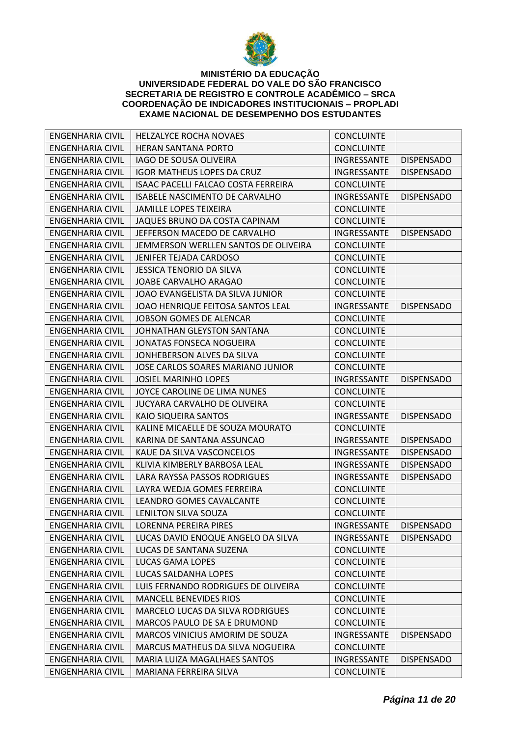

| <b>ENGENHARIA CIVIL</b> | <b>HELZALYCE ROCHA NOVAES</b>           | <b>CONCLUINTE</b>        |                   |
|-------------------------|-----------------------------------------|--------------------------|-------------------|
| ENGENHARIA CIVIL        | <b>HERAN SANTANA PORTO</b>              | <b>CONCLUINTE</b>        |                   |
| <b>ENGENHARIA CIVIL</b> | <b>IAGO DE SOUSA OLIVEIRA</b>           | INGRESSANTE              | <b>DISPENSADO</b> |
| <b>ENGENHARIA CIVIL</b> | <b>IGOR MATHEUS LOPES DA CRUZ</b>       | INGRESSANTE              | <b>DISPENSADO</b> |
| <b>ENGENHARIA CIVIL</b> | ISAAC PACELLI FALCAO COSTA FERREIRA     | <b>CONCLUINTE</b>        |                   |
| <b>ENGENHARIA CIVIL</b> | ISABELE NASCIMENTO DE CARVALHO          | INGRESSANTE              | <b>DISPENSADO</b> |
| <b>ENGENHARIA CIVIL</b> | <b>JAMILLE LOPES TEIXEIRA</b>           | <b>CONCLUINTE</b>        |                   |
| ENGENHARIA CIVIL        | JAQUES BRUNO DA COSTA CAPINAM           | <b>CONCLUINTE</b>        |                   |
| <b>ENGENHARIA CIVIL</b> | JEFFERSON MACEDO DE CARVALHO            | INGRESSANTE              | <b>DISPENSADO</b> |
| <b>ENGENHARIA CIVIL</b> | JEMMERSON WERLLEN SANTOS DE OLIVEIRA    | <b>CONCLUINTE</b>        |                   |
| <b>ENGENHARIA CIVIL</b> | JENIFER TEJADA CARDOSO                  | <b>CONCLUINTE</b>        |                   |
| ENGENHARIA CIVIL        | JESSICA TENORIO DA SILVA                | <b>CONCLUINTE</b>        |                   |
| <b>ENGENHARIA CIVIL</b> | JOABE CARVALHO ARAGAO                   | <b>CONCLUINTE</b>        |                   |
| ENGENHARIA CIVIL        | JOAO EVANGELISTA DA SILVA JUNIOR        | <b>CONCLUINTE</b>        |                   |
| ENGENHARIA CIVIL        | JOAO HENRIQUE FEITOSA SANTOS LEAL       | INGRESSANTE              | <b>DISPENSADO</b> |
| <b>ENGENHARIA CIVIL</b> | <b>JOBSON GOMES DE ALENCAR</b>          | <b>CONCLUINTE</b>        |                   |
| <b>ENGENHARIA CIVIL</b> | JOHNATHAN GLEYSTON SANTANA              | <b>CONCLUINTE</b>        |                   |
| <b>ENGENHARIA CIVIL</b> | <b>JONATAS FONSECA NOGUEIRA</b>         | <b>CONCLUINTE</b>        |                   |
| <b>ENGENHARIA CIVIL</b> | JONHEBERSON ALVES DA SILVA              | <b>CONCLUINTE</b>        |                   |
| <b>ENGENHARIA CIVIL</b> | JOSE CARLOS SOARES MARIANO JUNIOR       | <b>CONCLUINTE</b>        |                   |
| ENGENHARIA CIVIL        | <b>JOSIEL MARINHO LOPES</b>             | INGRESSANTE              | <b>DISPENSADO</b> |
| <b>ENGENHARIA CIVIL</b> | JOYCE CAROLINE DE LIMA NUNES            | <b>CONCLUINTE</b>        |                   |
| <b>ENGENHARIA CIVIL</b> | JUCYARA CARVALHO DE OLIVEIRA            | <b>CONCLUINTE</b>        |                   |
| <b>ENGENHARIA CIVIL</b> | KAIO SIQUEIRA SANTOS                    | INGRESSANTE              | <b>DISPENSADO</b> |
| <b>ENGENHARIA CIVIL</b> | KALINE MICAELLE DE SOUZA MOURATO        | <b>CONCLUINTE</b>        |                   |
| <b>ENGENHARIA CIVIL</b> | KARINA DE SANTANA ASSUNCAO              | INGRESSANTE              | <b>DISPENSADO</b> |
| ENGENHARIA CIVIL        | KAUE DA SILVA VASCONCELOS               | INGRESSANTE              | <b>DISPENSADO</b> |
| ENGENHARIA CIVIL        | KLIVIA KIMBERLY BARBOSA LEAL            | INGRESSANTE              | <b>DISPENSADO</b> |
| <b>ENGENHARIA CIVIL</b> | LARA RAYSSA PASSOS RODRIGUES            | INGRESSANTE              | <b>DISPENSADO</b> |
| <b>ENGENHARIA CIVIL</b> | LAYRA WEDJA GOMES FERREIRA              | <b>CONCLUINTE</b>        |                   |
| <b>ENGENHARIA CIVIL</b> | LEANDRO GOMES CAVALCANTE                | <b>CONCLUINTE</b>        |                   |
| <b>ENGENHARIA CIVIL</b> | LENILTON SILVA SOUZA                    | <b>CONCLUINTE</b>        |                   |
| ENGENHARIA CIVIL        | LORENNA PEREIRA PIRES                   | INGRESSANTE   DISPENSADO |                   |
| <b>ENGENHARIA CIVIL</b> | LUCAS DAVID ENOQUE ANGELO DA SILVA      | INGRESSANTE              | <b>DISPENSADO</b> |
| <b>ENGENHARIA CIVIL</b> | LUCAS DE SANTANA SUZENA                 | <b>CONCLUINTE</b>        |                   |
| <b>ENGENHARIA CIVIL</b> | LUCAS GAMA LOPES                        | <b>CONCLUINTE</b>        |                   |
| <b>ENGENHARIA CIVIL</b> | LUCAS SALDANHA LOPES                    | <b>CONCLUINTE</b>        |                   |
| <b>ENGENHARIA CIVIL</b> | LUIS FERNANDO RODRIGUES DE OLIVEIRA     | <b>CONCLUINTE</b>        |                   |
| <b>ENGENHARIA CIVIL</b> | <b>MANCELL BENEVIDES RIOS</b>           | <b>CONCLUINTE</b>        |                   |
| <b>ENGENHARIA CIVIL</b> | <b>MARCELO LUCAS DA SILVA RODRIGUES</b> | <b>CONCLUINTE</b>        |                   |
| <b>ENGENHARIA CIVIL</b> | MARCOS PAULO DE SA E DRUMOND            | <b>CONCLUINTE</b>        |                   |
| <b>ENGENHARIA CIVIL</b> | MARCOS VINICIUS AMORIM DE SOUZA         | INGRESSANTE              | <b>DISPENSADO</b> |
| <b>ENGENHARIA CIVIL</b> | MARCUS MATHEUS DA SILVA NOGUEIRA        | <b>CONCLUINTE</b>        |                   |
| <b>ENGENHARIA CIVIL</b> | MARIA LUIZA MAGALHAES SANTOS            | INGRESSANTE              | <b>DISPENSADO</b> |
| <b>ENGENHARIA CIVIL</b> | MARIANA FERREIRA SILVA                  | <b>CONCLUINTE</b>        |                   |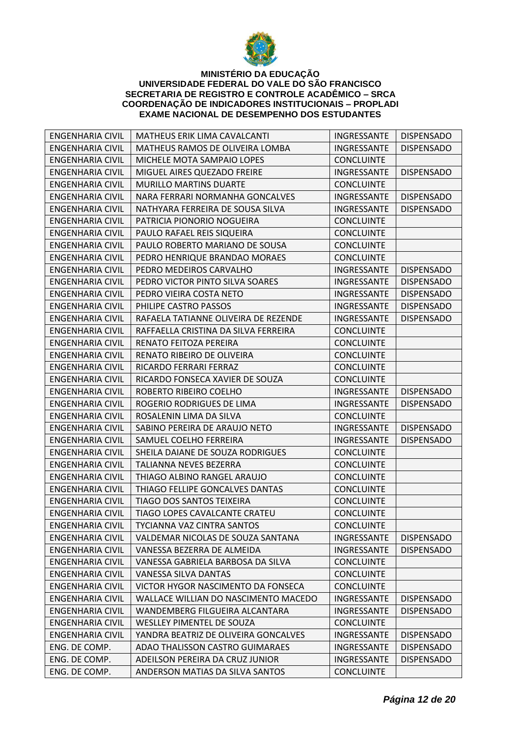

| ENGENHARIA CIVIL        | MATHEUS ERIK LIMA CAVALCANTI         | INGRESSANTE        | <b>DISPENSADO</b> |
|-------------------------|--------------------------------------|--------------------|-------------------|
| ENGENHARIA CIVIL        | MATHEUS RAMOS DE OLIVEIRA LOMBA      | <b>INGRESSANTE</b> | <b>DISPENSADO</b> |
| <b>ENGENHARIA CIVIL</b> | MICHELE MOTA SAMPAIO LOPES           | <b>CONCLUINTE</b>  |                   |
| <b>ENGENHARIA CIVIL</b> | MIGUEL AIRES QUEZADO FREIRE          | INGRESSANTE        | <b>DISPENSADO</b> |
| <b>ENGENHARIA CIVIL</b> | <b>MURILLO MARTINS DUARTE</b>        | <b>CONCLUINTE</b>  |                   |
| <b>ENGENHARIA CIVIL</b> | NARA FERRARI NORMANHA GONCALVES      | INGRESSANTE        | <b>DISPENSADO</b> |
| <b>ENGENHARIA CIVIL</b> | NATHYARA FERREIRA DE SOUSA SILVA     | INGRESSANTE        | <b>DISPENSADO</b> |
| <b>ENGENHARIA CIVIL</b> | PATRICIA PIONORIO NOGUEIRA           | <b>CONCLUINTE</b>  |                   |
| <b>ENGENHARIA CIVIL</b> | PAULO RAFAEL REIS SIQUEIRA           | <b>CONCLUINTE</b>  |                   |
| <b>ENGENHARIA CIVIL</b> | PAULO ROBERTO MARIANO DE SOUSA       | <b>CONCLUINTE</b>  |                   |
| <b>ENGENHARIA CIVIL</b> | PEDRO HENRIQUE BRANDAO MORAES        | <b>CONCLUINTE</b>  |                   |
| <b>ENGENHARIA CIVIL</b> | PEDRO MEDEIROS CARVALHO              | INGRESSANTE        | <b>DISPENSADO</b> |
| <b>ENGENHARIA CIVIL</b> | PEDRO VICTOR PINTO SILVA SOARES      | INGRESSANTE        | <b>DISPENSADO</b> |
| ENGENHARIA CIVIL        | PEDRO VIEIRA COSTA NETO              | INGRESSANTE        | <b>DISPENSADO</b> |
| <b>ENGENHARIA CIVIL</b> | PHILIPE CASTRO PASSOS                | INGRESSANTE        | <b>DISPENSADO</b> |
| <b>ENGENHARIA CIVIL</b> | RAFAELA TATIANNE OLIVEIRA DE REZENDE | INGRESSANTE        | <b>DISPENSADO</b> |
| <b>ENGENHARIA CIVIL</b> | RAFFAELLA CRISTINA DA SILVA FERREIRA | <b>CONCLUINTE</b>  |                   |
| <b>ENGENHARIA CIVIL</b> | RENATO FEITOZA PEREIRA               | <b>CONCLUINTE</b>  |                   |
| <b>ENGENHARIA CIVIL</b> | RENATO RIBEIRO DE OLIVEIRA           | <b>CONCLUINTE</b>  |                   |
| ENGENHARIA CIVIL        | RICARDO FERRARI FERRAZ               | <b>CONCLUINTE</b>  |                   |
| <b>ENGENHARIA CIVIL</b> | RICARDO FONSECA XAVIER DE SOUZA      | <b>CONCLUINTE</b>  |                   |
| <b>ENGENHARIA CIVIL</b> | ROBERTO RIBEIRO COELHO               | INGRESSANTE        | <b>DISPENSADO</b> |
| <b>ENGENHARIA CIVIL</b> | ROGERIO RODRIGUES DE LIMA            | INGRESSANTE        | <b>DISPENSADO</b> |
| <b>ENGENHARIA CIVIL</b> | ROSALENIN LIMA DA SILVA              | <b>CONCLUINTE</b>  |                   |
| <b>ENGENHARIA CIVIL</b> | SABINO PEREIRA DE ARAUJO NETO        | INGRESSANTE        | <b>DISPENSADO</b> |
| <b>ENGENHARIA CIVIL</b> | SAMUEL COELHO FERREIRA               | INGRESSANTE        | <b>DISPENSADO</b> |
| ENGENHARIA CIVIL        | SHEILA DAIANE DE SOUZA RODRIGUES     | <b>CONCLUINTE</b>  |                   |
| <b>ENGENHARIA CIVIL</b> | TALIANNA NEVES BEZERRA               | <b>CONCLUINTE</b>  |                   |
| <b>ENGENHARIA CIVIL</b> | THIAGO ALBINO RANGEL ARAUJO          | <b>CONCLUINTE</b>  |                   |
| <b>ENGENHARIA CIVIL</b> | THIAGO FELLIPE GONCALVES DANTAS      | <b>CONCLUINTE</b>  |                   |
| <b>ENGENHARIA CIVIL</b> | TIAGO DOS SANTOS TEIXEIRA            | <b>CONCLUINTE</b>  |                   |
| ENGENHARIA CIVIL        | TIAGO LOPES CAVALCANTE CRATEU        | <b>CONCLUINTE</b>  |                   |
| <b>ENGENHARIA CIVIL</b> | TYCIANNA VAZ CINTRA SANTOS           | <b>CONCLUINTE</b>  |                   |
| <b>ENGENHARIA CIVIL</b> | VALDEMAR NICOLAS DE SOUZA SANTANA    | INGRESSANTE        | <b>DISPENSADO</b> |
| ENGENHARIA CIVIL        | VANESSA BEZERRA DE ALMEIDA           | <b>INGRESSANTE</b> | <b>DISPENSADO</b> |
| ENGENHARIA CIVIL        | VANESSA GABRIELA BARBOSA DA SILVA    | <b>CONCLUINTE</b>  |                   |
| <b>ENGENHARIA CIVIL</b> | VANESSA SILVA DANTAS                 | <b>CONCLUINTE</b>  |                   |
| <b>ENGENHARIA CIVIL</b> | VICTOR HYGOR NASCIMENTO DA FONSECA   | <b>CONCLUINTE</b>  |                   |
| <b>ENGENHARIA CIVIL</b> | WALLACE WILLIAN DO NASCIMENTO MACEDO | INGRESSANTE        | <b>DISPENSADO</b> |
| <b>ENGENHARIA CIVIL</b> | WANDEMBERG FILGUEIRA ALCANTARA       | INGRESSANTE        | <b>DISPENSADO</b> |
| ENGENHARIA CIVIL        | WESLLEY PIMENTEL DE SOUZA            | <b>CONCLUINTE</b>  |                   |
| <b>ENGENHARIA CIVIL</b> | YANDRA BEATRIZ DE OLIVEIRA GONCALVES | INGRESSANTE        | <b>DISPENSADO</b> |
| ENG. DE COMP.           | ADAO THALISSON CASTRO GUIMARAES      | INGRESSANTE        | <b>DISPENSADO</b> |
| ENG. DE COMP.           | ADEILSON PEREIRA DA CRUZ JUNIOR      | INGRESSANTE        | <b>DISPENSADO</b> |
| ENG. DE COMP.           | ANDERSON MATIAS DA SILVA SANTOS      | <b>CONCLUINTE</b>  |                   |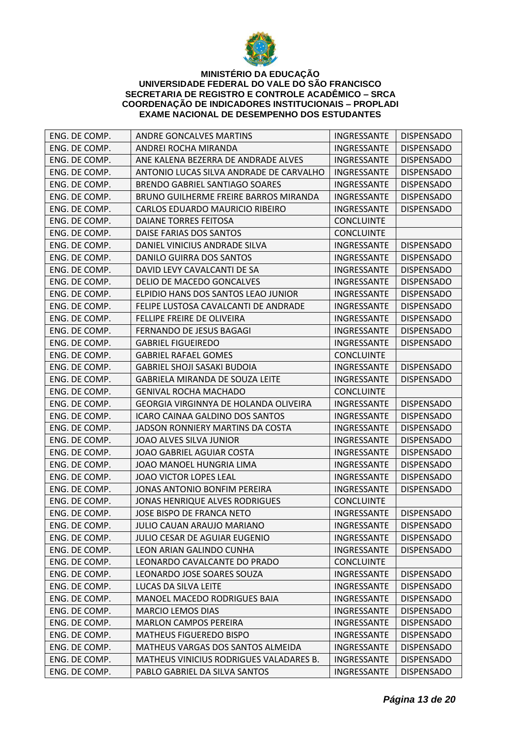

| ENG. DE COMP. | <b>ANDRE GONCALVES MARTINS</b>          | <b>INGRESSANTE</b> | <b>DISPENSADO</b> |
|---------------|-----------------------------------------|--------------------|-------------------|
| ENG. DE COMP. | ANDREI ROCHA MIRANDA                    | INGRESSANTE        | <b>DISPENSADO</b> |
| ENG. DE COMP. | ANE KALENA BEZERRA DE ANDRADE ALVES     | INGRESSANTE        | <b>DISPENSADO</b> |
| ENG. DE COMP. | ANTONIO LUCAS SILVA ANDRADE DE CARVALHO | INGRESSANTE        | <b>DISPENSADO</b> |
| ENG. DE COMP. | <b>BRENDO GABRIEL SANTIAGO SOARES</b>   | INGRESSANTE        | <b>DISPENSADO</b> |
| ENG. DE COMP. | BRUNO GUILHERME FREIRE BARROS MIRANDA   | INGRESSANTE        | <b>DISPENSADO</b> |
| ENG. DE COMP. | CARLOS EDUARDO MAURICIO RIBEIRO         | INGRESSANTE        | <b>DISPENSADO</b> |
| ENG. DE COMP. | DAIANE TORRES FEITOSA                   | <b>CONCLUINTE</b>  |                   |
| ENG. DE COMP. | DAISE FARIAS DOS SANTOS                 | <b>CONCLUINTE</b>  |                   |
| ENG. DE COMP. | DANIEL VINICIUS ANDRADE SILVA           | INGRESSANTE        | <b>DISPENSADO</b> |
| ENG. DE COMP. | <b>DANILO GUIRRA DOS SANTOS</b>         | INGRESSANTE        | <b>DISPENSADO</b> |
| ENG. DE COMP. | DAVID LEVY CAVALCANTI DE SA             | INGRESSANTE        | <b>DISPENSADO</b> |
| ENG. DE COMP. | DELIO DE MACEDO GONCALVES               | INGRESSANTE        | <b>DISPENSADO</b> |
| ENG. DE COMP. | ELPIDIO HANS DOS SANTOS LEAO JUNIOR     | INGRESSANTE        | <b>DISPENSADO</b> |
| ENG. DE COMP. | FELIPE LUSTOSA CAVALCANTI DE ANDRADE    | INGRESSANTE        | <b>DISPENSADO</b> |
| ENG. DE COMP. | FELLIPE FREIRE DE OLIVEIRA              | INGRESSANTE        | <b>DISPENSADO</b> |
| ENG. DE COMP. | FERNANDO DE JESUS BAGAGI                | INGRESSANTE        | <b>DISPENSADO</b> |
| ENG. DE COMP. | <b>GABRIEL FIGUEIREDO</b>               | INGRESSANTE        | <b>DISPENSADO</b> |
| ENG. DE COMP. | <b>GABRIEL RAFAEL GOMES</b>             | <b>CONCLUINTE</b>  |                   |
| ENG. DE COMP. | <b>GABRIEL SHOJI SASAKI BUDOIA</b>      | INGRESSANTE        | <b>DISPENSADO</b> |
| ENG. DE COMP. | GABRIELA MIRANDA DE SOUZA LEITE         | INGRESSANTE        | <b>DISPENSADO</b> |
| ENG. DE COMP. | <b>GENIVAL ROCHA MACHADO</b>            | <b>CONCLUINTE</b>  |                   |
| ENG. DE COMP. | GEORGIA VIRGINNYA DE HOLANDA OLIVEIRA   | INGRESSANTE        | <b>DISPENSADO</b> |
| ENG. DE COMP. | ICARO CAINAA GALDINO DOS SANTOS         | INGRESSANTE        | <b>DISPENSADO</b> |
| ENG. DE COMP. | JADSON RONNIERY MARTINS DA COSTA        | INGRESSANTE        | <b>DISPENSADO</b> |
| ENG. DE COMP. | JOAO ALVES SILVA JUNIOR                 | INGRESSANTE        | <b>DISPENSADO</b> |
| ENG. DE COMP. | JOAO GABRIEL AGUIAR COSTA               | INGRESSANTE        | <b>DISPENSADO</b> |
| ENG. DE COMP. | JOAO MANOEL HUNGRIA LIMA                | INGRESSANTE        | <b>DISPENSADO</b> |
| ENG. DE COMP. | JOAO VICTOR LOPES LEAL                  | INGRESSANTE        | <b>DISPENSADO</b> |
| ENG. DE COMP. | JONAS ANTONIO BONFIM PEREIRA            | INGRESSANTE        | <b>DISPENSADO</b> |
| ENG. DE COMP. | <b>JONAS HENRIQUE ALVES RODRIGUES</b>   | <b>CONCLUINTE</b>  |                   |
| ENG. DE COMP. | JOSE BISPO DE FRANCA NETO               | INGRESSANTE        | <b>DISPENSADO</b> |
| ENG. DE COMP. | JULIO CAUAN ARAUJO MARIANO              | INGRESSANTE        | <b>DISPENSADO</b> |
| ENG. DE COMP. | JULIO CESAR DE AGUIAR EUGENIO           | INGRESSANTE        | <b>DISPENSADO</b> |
| ENG. DE COMP. | LEON ARIAN GALINDO CUNHA                | INGRESSANTE        | <b>DISPENSADO</b> |
| ENG. DE COMP. | LEONARDO CAVALCANTE DO PRADO            | <b>CONCLUINTE</b>  |                   |
| ENG. DE COMP. | LEONARDO JOSE SOARES SOUZA              | INGRESSANTE        | <b>DISPENSADO</b> |
| ENG. DE COMP. | LUCAS DA SILVA LEITE                    | INGRESSANTE        | <b>DISPENSADO</b> |
| ENG. DE COMP. | <b>MANOEL MACEDO RODRIGUES BAIA</b>     | INGRESSANTE        | <b>DISPENSADO</b> |
| ENG. DE COMP. | <b>MARCIO LEMOS DIAS</b>                | INGRESSANTE        | <b>DISPENSADO</b> |
| ENG. DE COMP. | <b>MARLON CAMPOS PEREIRA</b>            | INGRESSANTE        | <b>DISPENSADO</b> |
| ENG. DE COMP. | <b>MATHEUS FIGUEREDO BISPO</b>          | INGRESSANTE        | <b>DISPENSADO</b> |
| ENG. DE COMP. | MATHEUS VARGAS DOS SANTOS ALMEIDA       | INGRESSANTE        | <b>DISPENSADO</b> |
| ENG. DE COMP. | MATHEUS VINICIUS RODRIGUES VALADARES B. | INGRESSANTE        | <b>DISPENSADO</b> |
| ENG. DE COMP. | PABLO GABRIEL DA SILVA SANTOS           | INGRESSANTE        | <b>DISPENSADO</b> |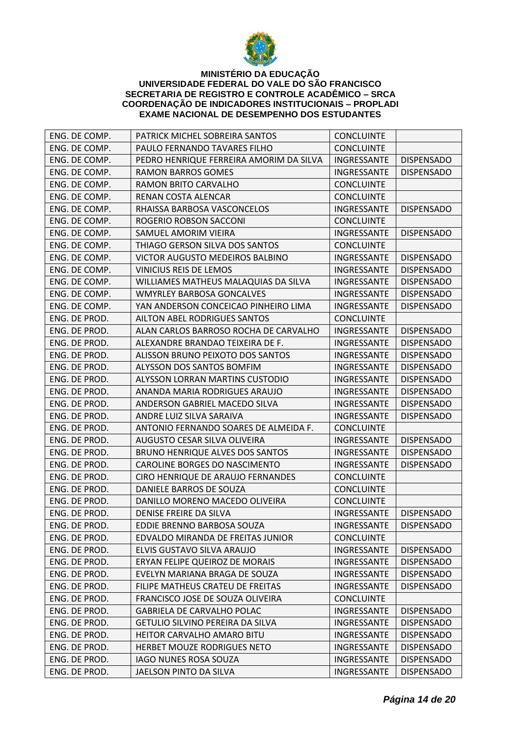

| ENG. DE COMP. | PATRICK MICHEL SOBREIRA SANTOS          | <b>CONCLUINTE</b>        |                   |
|---------------|-----------------------------------------|--------------------------|-------------------|
| ENG. DE COMP. | PAULO FERNANDO TAVARES FILHO            | <b>CONCLUINTE</b>        |                   |
| ENG. DE COMP. | PEDRO HENRIQUE FERREIRA AMORIM DA SILVA | INGRESSANTE              | <b>DISPENSADO</b> |
| ENG. DE COMP. | <b>RAMON BARROS GOMES</b>               | INGRESSANTE              | <b>DISPENSADO</b> |
| ENG. DE COMP. | RAMON BRITO CARVALHO                    | <b>CONCLUINTE</b>        |                   |
| ENG. DE COMP. | RENAN COSTA ALENCAR                     | <b>CONCLUINTE</b>        |                   |
| ENG. DE COMP. | RHAISSA BARBOSA VASCONCELOS             | INGRESSANTE              | <b>DISPENSADO</b> |
| ENG. DE COMP. | ROGERIO ROBSON SACCONI                  | <b>CONCLUINTE</b>        |                   |
| ENG. DE COMP. | SAMUEL AMORIM VIEIRA                    | INGRESSANTE              | <b>DISPENSADO</b> |
| ENG. DE COMP. | THIAGO GERSON SILVA DOS SANTOS          | <b>CONCLUINTE</b>        |                   |
| ENG. DE COMP. | VICTOR AUGUSTO MEDEIROS BALBINO         | INGRESSANTE              | <b>DISPENSADO</b> |
| ENG. DE COMP. | VINICIUS REIS DE LEMOS                  | INGRESSANTE              | <b>DISPENSADO</b> |
| ENG. DE COMP. | WILLIAMES MATHEUS MALAQUIAS DA SILVA    | INGRESSANTE              | <b>DISPENSADO</b> |
| ENG. DE COMP. | <b>WMYRLEY BARBOSA GONCALVES</b>        | INGRESSANTE              | <b>DISPENSADO</b> |
| ENG. DE COMP. | YAN ANDERSON CONCEICAO PINHEIRO LIMA    | INGRESSANTE              | <b>DISPENSADO</b> |
| ENG. DE PROD. | AILTON ABEL RODRIGUES SANTOS            | <b>CONCLUINTE</b>        |                   |
| ENG. DE PROD. | ALAN CARLOS BARROSO ROCHA DE CARVALHO   | INGRESSANTE              | <b>DISPENSADO</b> |
| ENG. DE PROD. | ALEXANDRE BRANDAO TEIXEIRA DE F.        | INGRESSANTE              | <b>DISPENSADO</b> |
| ENG. DE PROD. | ALISSON BRUNO PEIXOTO DOS SANTOS        | INGRESSANTE              | <b>DISPENSADO</b> |
| ENG. DE PROD. | ALYSSON DOS SANTOS BOMFIM               | <b>INGRESSANTE</b>       | <b>DISPENSADO</b> |
| ENG. DE PROD. | ALYSSON LORRAN MARTINS CUSTODIO         | INGRESSANTE              | <b>DISPENSADO</b> |
| ENG. DE PROD. | ANANDA MARIA RODRIGUES ARAUJO           | INGRESSANTE              | <b>DISPENSADO</b> |
| ENG. DE PROD. | ANDERSON GABRIEL MACEDO SILVA           | INGRESSANTE              | <b>DISPENSADO</b> |
| ENG. DE PROD. | ANDRE LUIZ SILVA SARAIVA                | INGRESSANTE              | <b>DISPENSADO</b> |
| ENG. DE PROD. | ANTONIO FERNANDO SOARES DE ALMEIDA F.   | <b>CONCLUINTE</b>        |                   |
| ENG. DE PROD. | AUGUSTO CESAR SILVA OLIVEIRA            | INGRESSANTE              | <b>DISPENSADO</b> |
| ENG. DE PROD. | <b>BRUNO HENRIQUE ALVES DOS SANTOS</b>  | INGRESSANTE              | <b>DISPENSADO</b> |
| ENG. DE PROD. | CAROLINE BORGES DO NASCIMENTO           | INGRESSANTE              | <b>DISPENSADO</b> |
| ENG. DE PROD. | CIRO HENRIQUE DE ARAUJO FERNANDES       | <b>CONCLUINTE</b>        |                   |
| ENG. DE PROD. | DANIELE BARROS DE SOUZA                 | <b>CONCLUINTE</b>        |                   |
| ENG. DE PROD. | DANILLO MORENO MACEDO OLIVEIRA          | <b>CONCLUINTE</b>        |                   |
| ENG. DE PROD. | DENISE FREIRE DA SILVA                  | INGRESSANTE              | <b>DISPENSADO</b> |
| ENG. DE PROD. | EDDIE BRENNO BARBOSA SOUZA              | INGRESSANTE   DISPENSADO |                   |
| ENG. DE PROD. | EDVALDO MIRANDA DE FREITAS JUNIOR       | <b>CONCLUINTE</b>        |                   |
| ENG. DE PROD. | ELVIS GUSTAVO SILVA ARAUJO              | INGRESSANTE              | <b>DISPENSADO</b> |
| ENG. DE PROD. | ERYAN FELIPE QUEIROZ DE MORAIS          | INGRESSANTE              | <b>DISPENSADO</b> |
| ENG. DE PROD. | EVELYN MARIANA BRAGA DE SOUZA           | INGRESSANTE              | <b>DISPENSADO</b> |
| ENG. DE PROD. | FILIPE MATHEUS CRATEU DE FREITAS        | INGRESSANTE              | <b>DISPENSADO</b> |
| ENG. DE PROD. | FRANCISCO JOSE DE SOUZA OLIVEIRA        | <b>CONCLUINTE</b>        |                   |
| ENG. DE PROD. | <b>GABRIELA DE CARVALHO POLAC</b>       | INGRESSANTE              | <b>DISPENSADO</b> |
| ENG. DE PROD. | GETULIO SILVINO PEREIRA DA SILVA        | INGRESSANTE              | <b>DISPENSADO</b> |
| ENG. DE PROD. | <b>HEITOR CARVALHO AMARO BITU</b>       | INGRESSANTE              | <b>DISPENSADO</b> |
| ENG. DE PROD. | HERBET MOUZE RODRIGUES NETO             | INGRESSANTE              | <b>DISPENSADO</b> |
| ENG. DE PROD. | IAGO NUNES ROSA SOUZA                   | INGRESSANTE              | <b>DISPENSADO</b> |
| ENG. DE PROD. | JAELSON PINTO DA SILVA                  | INGRESSANTE              | <b>DISPENSADO</b> |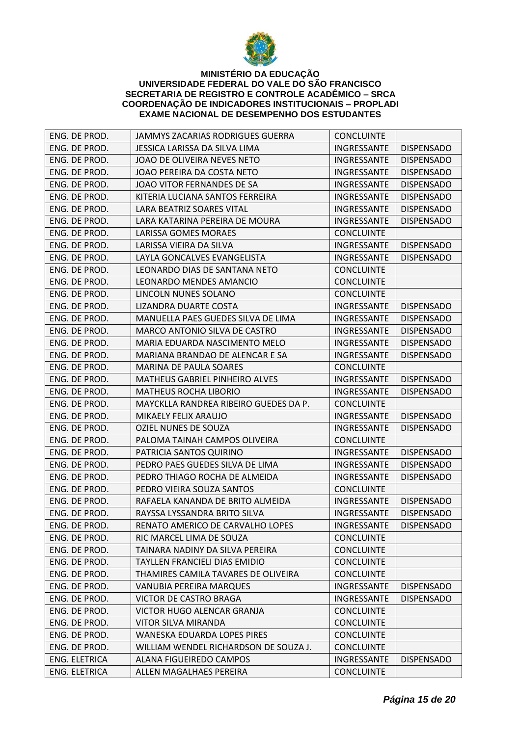

| ENG. DE PROD. | JAMMYS ZACARIAS RODRIGUES GUERRA      | <b>CONCLUINTE</b>        |                   |
|---------------|---------------------------------------|--------------------------|-------------------|
| ENG. DE PROD. | JESSICA LARISSA DA SILVA LIMA         | INGRESSANTE              | <b>DISPENSADO</b> |
| ENG. DE PROD. | JOAO DE OLIVEIRA NEVES NETO           | INGRESSANTE              | <b>DISPENSADO</b> |
| ENG. DE PROD. | JOAO PEREIRA DA COSTA NETO            | INGRESSANTE              | <b>DISPENSADO</b> |
| ENG. DE PROD. | JOAO VITOR FERNANDES DE SA            | INGRESSANTE              | <b>DISPENSADO</b> |
| ENG. DE PROD. | KITERIA LUCIANA SANTOS FERREIRA       | INGRESSANTE              | <b>DISPENSADO</b> |
| ENG. DE PROD. | LARA BEATRIZ SOARES VITAL             | INGRESSANTE              | <b>DISPENSADO</b> |
| ENG. DE PROD. | LARA KATARINA PEREIRA DE MOURA        | INGRESSANTE              | <b>DISPENSADO</b> |
| ENG. DE PROD. | LARISSA GOMES MORAES                  | <b>CONCLUINTE</b>        |                   |
| ENG. DE PROD. | LARISSA VIEIRA DA SILVA               | INGRESSANTE              | <b>DISPENSADO</b> |
| ENG. DE PROD. | LAYLA GONCALVES EVANGELISTA           | INGRESSANTE              | <b>DISPENSADO</b> |
| ENG. DE PROD. | LEONARDO DIAS DE SANTANA NETO         | <b>CONCLUINTE</b>        |                   |
| ENG. DE PROD. | LEONARDO MENDES AMANCIO               | <b>CONCLUINTE</b>        |                   |
| ENG. DE PROD. | LINCOLN NUNES SOLANO                  | <b>CONCLUINTE</b>        |                   |
| ENG. DE PROD. | LIZANDRA DUARTE COSTA                 | INGRESSANTE              | <b>DISPENSADO</b> |
| ENG. DE PROD. | MANUELLA PAES GUEDES SILVA DE LIMA    | INGRESSANTE              | <b>DISPENSADO</b> |
| ENG. DE PROD. | MARCO ANTONIO SILVA DE CASTRO         | INGRESSANTE              | <b>DISPENSADO</b> |
| ENG. DE PROD. | MARIA EDUARDA NASCIMENTO MELO         | INGRESSANTE              | <b>DISPENSADO</b> |
| ENG. DE PROD. | MARIANA BRANDAO DE ALENCAR E SA       | INGRESSANTE              | <b>DISPENSADO</b> |
| ENG. DE PROD. | MARINA DE PAULA SOARES                | <b>CONCLUINTE</b>        |                   |
| ENG. DE PROD. | MATHEUS GABRIEL PINHEIRO ALVES        | INGRESSANTE              | <b>DISPENSADO</b> |
| ENG. DE PROD. | <b>MATHEUS ROCHA LIBORIO</b>          | INGRESSANTE              | <b>DISPENSADO</b> |
| ENG. DE PROD. | MAYCKLLA RANDREA RIBEIRO GUEDES DA P. | <b>CONCLUINTE</b>        |                   |
| ENG. DE PROD. | MIKAELY FELIX ARAUJO                  | INGRESSANTE              | <b>DISPENSADO</b> |
| ENG. DE PROD. | <b>OZIEL NUNES DE SOUZA</b>           | INGRESSANTE              | <b>DISPENSADO</b> |
| ENG. DE PROD. | PALOMA TAINAH CAMPOS OLIVEIRA         | <b>CONCLUINTE</b>        |                   |
| ENG. DE PROD. | PATRICIA SANTOS QUIRINO               | INGRESSANTE              | <b>DISPENSADO</b> |
| ENG. DE PROD. | PEDRO PAES GUEDES SILVA DE LIMA       | INGRESSANTE              | <b>DISPENSADO</b> |
| ENG. DE PROD. | PEDRO THIAGO ROCHA DE ALMEIDA         | INGRESSANTE              | <b>DISPENSADO</b> |
| ENG. DE PROD. | PEDRO VIEIRA SOUZA SANTOS             | <b>CONCLUINTE</b>        |                   |
| ENG. DE PROD. | RAFAELA KANANDA DE BRITO ALMEIDA      | INGRESSANTE              | <b>DISPENSADO</b> |
| ENG. DE PROD. | RAYSSA LYSSANDRA BRITO SILVA          | INGRESSANTE              | <b>DISPENSADO</b> |
| ENG. DE PROD. | RENATO AMERICO DE CARVALHO LOPES      | INGRESSANTE   DISPENSADO |                   |
| ENG. DE PROD. | RIC MARCEL LIMA DE SOUZA              | <b>CONCLUINTE</b>        |                   |
| ENG. DE PROD. | TAINARA NADINY DA SILVA PEREIRA       | <b>CONCLUINTE</b>        |                   |
| ENG. DE PROD. | <b>TAYLLEN FRANCIELI DIAS EMIDIO</b>  | <b>CONCLUINTE</b>        |                   |
| ENG. DE PROD. | THAMIRES CAMILA TAVARES DE OLIVEIRA   | <b>CONCLUINTE</b>        |                   |
| ENG. DE PROD. | VANUBIA PEREIRA MARQUES               | INGRESSANTE              | <b>DISPENSADO</b> |
| ENG. DE PROD. | VICTOR DE CASTRO BRAGA                | INGRESSANTE              | <b>DISPENSADO</b> |
| ENG. DE PROD. | VICTOR HUGO ALENCAR GRANJA            | <b>CONCLUINTE</b>        |                   |
| ENG. DE PROD. | VITOR SILVA MIRANDA                   | <b>CONCLUINTE</b>        |                   |
| ENG. DE PROD. | WANESKA EDUARDA LOPES PIRES           | <b>CONCLUINTE</b>        |                   |
| ENG. DE PROD. | WILLIAM WENDEL RICHARDSON DE SOUZA J. | <b>CONCLUINTE</b>        |                   |
| ENG. ELETRICA | ALANA FIGUEIREDO CAMPOS               | INGRESSANTE              | <b>DISPENSADO</b> |
| ENG. ELETRICA | ALLEN MAGALHAES PEREIRA               | <b>CONCLUINTE</b>        |                   |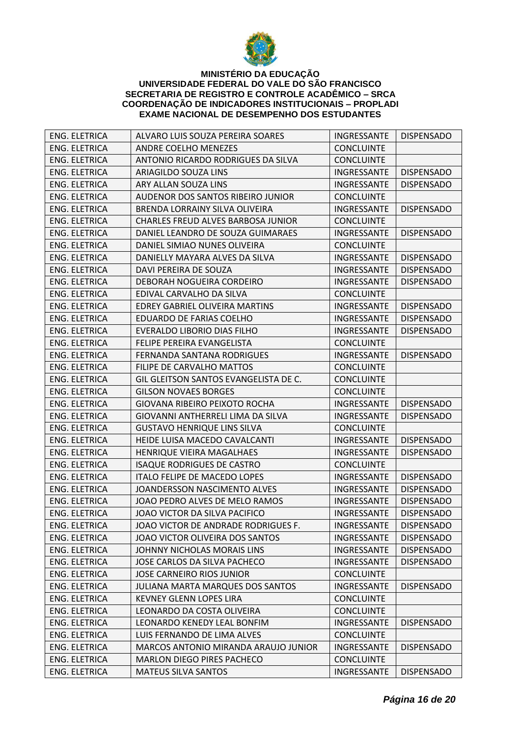

| ENG. ELETRICA        | ALVARO LUIS SOUZA PEREIRA SOARES          | <b>INGRESSANTE</b>       | <b>DISPENSADO</b> |
|----------------------|-------------------------------------------|--------------------------|-------------------|
| <b>ENG. ELETRICA</b> | ANDRE COELHO MENEZES                      | <b>CONCLUINTE</b>        |                   |
| <b>ENG. ELETRICA</b> | ANTONIO RICARDO RODRIGUES DA SILVA        | <b>CONCLUINTE</b>        |                   |
| <b>ENG. ELETRICA</b> | ARIAGILDO SOUZA LINS                      | INGRESSANTE              | <b>DISPENSADO</b> |
| <b>ENG. ELETRICA</b> | ARY ALLAN SOUZA LINS                      | INGRESSANTE              | <b>DISPENSADO</b> |
| <b>ENG. ELETRICA</b> | AUDENOR DOS SANTOS RIBEIRO JUNIOR         | <b>CONCLUINTE</b>        |                   |
| <b>ENG. ELETRICA</b> | BRENDA LORRAINY SILVA OLIVEIRA            | INGRESSANTE              | <b>DISPENSADO</b> |
| <b>ENG. ELETRICA</b> | <b>CHARLES FREUD ALVES BARBOSA JUNIOR</b> | <b>CONCLUINTE</b>        |                   |
| <b>ENG. ELETRICA</b> | DANIEL LEANDRO DE SOUZA GUIMARAES         | INGRESSANTE              | <b>DISPENSADO</b> |
| <b>ENG. ELETRICA</b> | DANIEL SIMIAO NUNES OLIVEIRA              | <b>CONCLUINTE</b>        |                   |
| <b>ENG. ELETRICA</b> | DANIELLY MAYARA ALVES DA SILVA            | INGRESSANTE              | <b>DISPENSADO</b> |
| <b>ENG. ELETRICA</b> | DAVI PEREIRA DE SOUZA                     | INGRESSANTE              | <b>DISPENSADO</b> |
| <b>ENG. ELETRICA</b> | DEBORAH NOGUEIRA CORDEIRO                 | INGRESSANTE              | <b>DISPENSADO</b> |
| <b>ENG. ELETRICA</b> | EDIVAL CARVALHO DA SILVA                  | <b>CONCLUINTE</b>        |                   |
| <b>ENG. ELETRICA</b> | <b>EDREY GABRIEL OLIVEIRA MARTINS</b>     | INGRESSANTE              | <b>DISPENSADO</b> |
| ENG. ELETRICA        | EDUARDO DE FARIAS COELHO                  | INGRESSANTE              | <b>DISPENSADO</b> |
| ENG. ELETRICA        | EVERALDO LIBORIO DIAS FILHO               | INGRESSANTE              | <b>DISPENSADO</b> |
| <b>ENG. ELETRICA</b> | FELIPE PEREIRA EVANGELISTA                | <b>CONCLUINTE</b>        |                   |
| <b>ENG. ELETRICA</b> | FERNANDA SANTANA RODRIGUES                | INGRESSANTE              | <b>DISPENSADO</b> |
| <b>ENG. ELETRICA</b> | <b>FILIPE DE CARVALHO MATTOS</b>          | <b>CONCLUINTE</b>        |                   |
| <b>ENG. ELETRICA</b> | GIL GLEITSON SANTOS EVANGELISTA DE C.     | <b>CONCLUINTE</b>        |                   |
| ENG. ELETRICA        | <b>GILSON NOVAES BORGES</b>               | <b>CONCLUINTE</b>        |                   |
| <b>ENG. ELETRICA</b> | <b>GIOVANA RIBEIRO PEIXOTO ROCHA</b>      | INGRESSANTE              | <b>DISPENSADO</b> |
| <b>ENG. ELETRICA</b> | GIOVANNI ANTHERRELI LIMA DA SILVA         | INGRESSANTE              | <b>DISPENSADO</b> |
| <b>ENG. ELETRICA</b> | <b>GUSTAVO HENRIQUE LINS SILVA</b>        | <b>CONCLUINTE</b>        |                   |
| <b>ENG. ELETRICA</b> | HEIDE LUISA MACEDO CAVALCANTI             | INGRESSANTE              | <b>DISPENSADO</b> |
| ENG. ELETRICA        | HENRIQUE VIEIRA MAGALHAES                 | INGRESSANTE              | <b>DISPENSADO</b> |
| <b>ENG. ELETRICA</b> | <b>ISAQUE RODRIGUES DE CASTRO</b>         | <b>CONCLUINTE</b>        |                   |
| <b>ENG. ELETRICA</b> | ITALO FELIPE DE MACEDO LOPES              | INGRESSANTE              | <b>DISPENSADO</b> |
| <b>ENG. ELETRICA</b> | JOANDERSSON NASCIMENTO ALVES              | INGRESSANTE              | <b>DISPENSADO</b> |
| <b>ENG. ELETRICA</b> | JOAO PEDRO ALVES DE MELO RAMOS            | INGRESSANTE              | <b>DISPENSADO</b> |
| <b>ENG. ELETRICA</b> | JOAO VICTOR DA SILVA PACIFICO             | INGRESSANTE              | <b>DISPENSADO</b> |
| <b>ENG. ELETRICA</b> | JOAO VICTOR DE ANDRADE RODRIGUES F.       | INGRESSANTE   DISPENSADO |                   |
| ENG. ELETRICA        | JOAO VICTOR OLIVEIRA DOS SANTOS           | INGRESSANTE              | <b>DISPENSADO</b> |
| ENG. ELETRICA        | JOHNNY NICHOLAS MORAIS LINS               | INGRESSANTE              | <b>DISPENSADO</b> |
| <b>ENG. ELETRICA</b> | JOSE CARLOS DA SILVA PACHECO              | INGRESSANTE              | <b>DISPENSADO</b> |
| ENG. ELETRICA        | <b>JOSE CARNEIRO RIOS JUNIOR</b>          | <b>CONCLUINTE</b>        |                   |
| ENG. ELETRICA        | JULIANA MARTA MARQUES DOS SANTOS          | INGRESSANTE              | <b>DISPENSADO</b> |
| <b>ENG. ELETRICA</b> | <b>KEVNEY GLENN LOPES LIRA</b>            | <b>CONCLUINTE</b>        |                   |
| ENG. ELETRICA        | LEONARDO DA COSTA OLIVEIRA                | <b>CONCLUINTE</b>        |                   |
| ENG. ELETRICA        | LEONARDO KENEDY LEAL BONFIM               | INGRESSANTE              | <b>DISPENSADO</b> |
| <b>ENG. ELETRICA</b> | LUIS FERNANDO DE LIMA ALVES               | <b>CONCLUINTE</b>        |                   |
| ENG. ELETRICA        | MARCOS ANTONIO MIRANDA ARAUJO JUNIOR      | INGRESSANTE              | <b>DISPENSADO</b> |
| ENG. ELETRICA        | <b>MARLON DIEGO PIRES PACHECO</b>         | <b>CONCLUINTE</b>        |                   |
| ENG. ELETRICA        | <b>MATEUS SILVA SANTOS</b>                | INGRESSANTE              | <b>DISPENSADO</b> |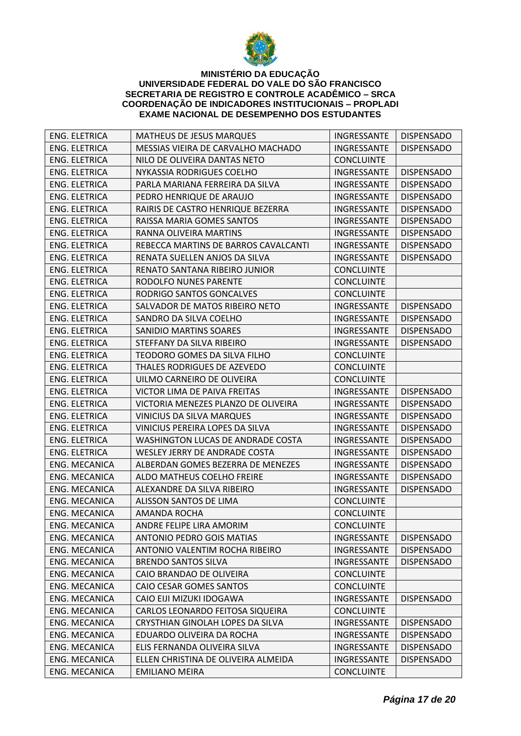

| <b>ENG. ELETRICA</b> | <b>MATHEUS DE JESUS MARQUES</b>      | INGRESSANTE       | <b>DISPENSADO</b> |
|----------------------|--------------------------------------|-------------------|-------------------|
| <b>ENG. ELETRICA</b> | MESSIAS VIEIRA DE CARVALHO MACHADO   | INGRESSANTE       | <b>DISPENSADO</b> |
| ENG. ELETRICA        | NILO DE OLIVEIRA DANTAS NETO         | <b>CONCLUINTE</b> |                   |
| <b>ENG. ELETRICA</b> | NYKASSIA RODRIGUES COELHO            | INGRESSANTE       | <b>DISPENSADO</b> |
| <b>ENG. ELETRICA</b> | PARLA MARIANA FERREIRA DA SILVA      | INGRESSANTE       | <b>DISPENSADO</b> |
| <b>ENG. ELETRICA</b> | PEDRO HENRIQUE DE ARAUJO             | INGRESSANTE       | <b>DISPENSADO</b> |
| <b>ENG. ELETRICA</b> | RAIRIS DE CASTRO HENRIQUE BEZERRA    | INGRESSANTE       | <b>DISPENSADO</b> |
| <b>ENG. ELETRICA</b> | RAISSA MARIA GOMES SANTOS            | INGRESSANTE       | <b>DISPENSADO</b> |
| <b>ENG. ELETRICA</b> | RANNA OLIVEIRA MARTINS               | INGRESSANTE       | <b>DISPENSADO</b> |
| <b>ENG. ELETRICA</b> | REBECCA MARTINS DE BARROS CAVALCANTI | INGRESSANTE       | <b>DISPENSADO</b> |
| <b>ENG. ELETRICA</b> | RENATA SUELLEN ANJOS DA SILVA        | INGRESSANTE       | <b>DISPENSADO</b> |
| <b>ENG. ELETRICA</b> | RENATO SANTANA RIBEIRO JUNIOR        | <b>CONCLUINTE</b> |                   |
| <b>ENG. ELETRICA</b> | RODOLFO NUNES PARENTE                | <b>CONCLUINTE</b> |                   |
| <b>ENG. ELETRICA</b> | RODRIGO SANTOS GONCALVES             | <b>CONCLUINTE</b> |                   |
| ENG. ELETRICA        | SALVADOR DE MATOS RIBEIRO NETO       | INGRESSANTE       | <b>DISPENSADO</b> |
| ENG. ELETRICA        | SANDRO DA SILVA COELHO               | INGRESSANTE       | <b>DISPENSADO</b> |
| <b>ENG. ELETRICA</b> | <b>SANIDIO MARTINS SOARES</b>        | INGRESSANTE       | <b>DISPENSADO</b> |
| <b>ENG. ELETRICA</b> | STEFFANY DA SILVA RIBEIRO            | INGRESSANTE       | <b>DISPENSADO</b> |
| <b>ENG. ELETRICA</b> | TEODORO GOMES DA SILVA FILHO         | <b>CONCLUINTE</b> |                   |
| <b>ENG. ELETRICA</b> | THALES RODRIGUES DE AZEVEDO          | <b>CONCLUINTE</b> |                   |
| <b>ENG. ELETRICA</b> | UILMO CARNEIRO DE OLIVEIRA           | <b>CONCLUINTE</b> |                   |
| <b>ENG. ELETRICA</b> | VICTOR LIMA DE PAIVA FREITAS         | INGRESSANTE       | <b>DISPENSADO</b> |
| <b>ENG. ELETRICA</b> | VICTORIA MENEZES PLANZO DE OLIVEIRA  | INGRESSANTE       | <b>DISPENSADO</b> |
| <b>ENG. ELETRICA</b> | <b>VINICIUS DA SILVA MARQUES</b>     | INGRESSANTE       | <b>DISPENSADO</b> |
| <b>ENG. ELETRICA</b> | VINICIUS PEREIRA LOPES DA SILVA      | INGRESSANTE       | <b>DISPENSADO</b> |
| <b>ENG. ELETRICA</b> | WASHINGTON LUCAS DE ANDRADE COSTA    | INGRESSANTE       | <b>DISPENSADO</b> |
| <b>ENG. ELETRICA</b> | WESLEY JERRY DE ANDRADE COSTA        | INGRESSANTE       | <b>DISPENSADO</b> |
| ENG. MECANICA        | ALBERDAN GOMES BEZERRA DE MENEZES    | INGRESSANTE       | <b>DISPENSADO</b> |
| ENG. MECANICA        | ALDO MATHEUS COELHO FREIRE           | INGRESSANTE       | <b>DISPENSADO</b> |
| ENG. MECANICA        | ALEXANDRE DA SILVA RIBEIRO           | INGRESSANTE       | <b>DISPENSADO</b> |
| ENG. MECANICA        | ALISSON SANTOS DE LIMA               | <b>CONCLUINTE</b> |                   |
| ENG. MECANICA        | AMANDA ROCHA                         | <b>CONCLUINTE</b> |                   |
| ENG. MECANICA        | ANDRE FELIPE LIRA AMORIM             | <b>CONCLUINTE</b> |                   |
| <b>ENG. MECANICA</b> | ANTONIO PEDRO GOIS MATIAS            | INGRESSANTE       | <b>DISPENSADO</b> |
| ENG. MECANICA        | ANTONIO VALENTIM ROCHA RIBEIRO       | INGRESSANTE       | <b>DISPENSADO</b> |
| ENG. MECANICA        | <b>BRENDO SANTOS SILVA</b>           | INGRESSANTE       | <b>DISPENSADO</b> |
| <b>ENG. MECANICA</b> | CAIO BRANDAO DE OLIVEIRA             | <b>CONCLUINTE</b> |                   |
| <b>ENG. MECANICA</b> | CAIO CESAR GOMES SANTOS              | <b>CONCLUINTE</b> |                   |
| ENG. MECANICA        | CAIO EIJI MIZUKI IDOGAWA             | INGRESSANTE       | <b>DISPENSADO</b> |
| ENG. MECANICA        | CARLOS LEONARDO FEITOSA SIQUEIRA     | <b>CONCLUINTE</b> |                   |
| <b>ENG. MECANICA</b> | CRYSTHIAN GINOLAH LOPES DA SILVA     | INGRESSANTE       | <b>DISPENSADO</b> |
| ENG. MECANICA        | EDUARDO OLIVEIRA DA ROCHA            | INGRESSANTE       | <b>DISPENSADO</b> |
| ENG. MECANICA        | ELIS FERNANDA OLIVEIRA SILVA         | INGRESSANTE       | <b>DISPENSADO</b> |
| ENG. MECANICA        | ELLEN CHRISTINA DE OLIVEIRA ALMEIDA  | INGRESSANTE       | <b>DISPENSADO</b> |
| ENG. MECANICA        | <b>EMILIANO MEIRA</b>                | <b>CONCLUINTE</b> |                   |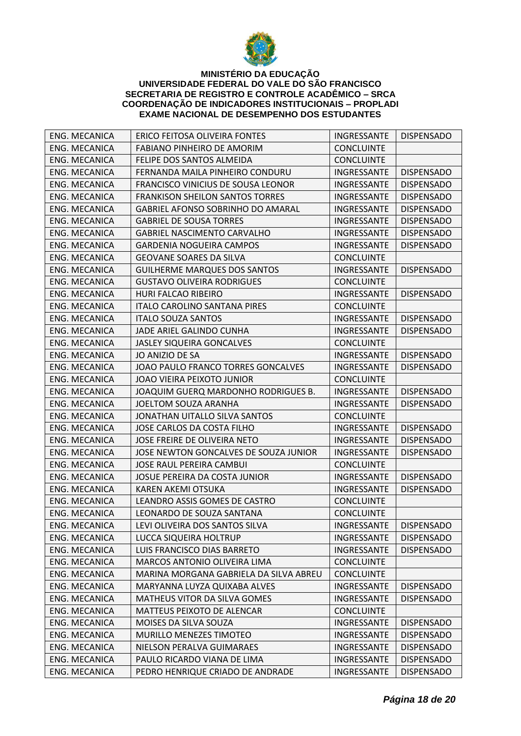

| ENG. MECANICA        | ERICO FEITOSA OLIVEIRA FONTES            | INGRESSANTE        | <b>DISPENSADO</b> |
|----------------------|------------------------------------------|--------------------|-------------------|
| ENG. MECANICA        | FABIANO PINHEIRO DE AMORIM               | <b>CONCLUINTE</b>  |                   |
| ENG. MECANICA        | FELIPE DOS SANTOS ALMEIDA                | <b>CONCLUINTE</b>  |                   |
| ENG. MECANICA        | FERNANDA MAILA PINHEIRO CONDURU          | INGRESSANTE        | <b>DISPENSADO</b> |
| ENG. MECANICA        | FRANCISCO VINICIUS DE SOUSA LEONOR       | INGRESSANTE        | <b>DISPENSADO</b> |
| ENG. MECANICA        | <b>FRANKISON SHEILON SANTOS TORRES</b>   | INGRESSANTE        | <b>DISPENSADO</b> |
| ENG. MECANICA        | <b>GABRIEL AFONSO SOBRINHO DO AMARAL</b> | INGRESSANTE        | <b>DISPENSADO</b> |
| ENG. MECANICA        | <b>GABRIEL DE SOUSA TORRES</b>           | INGRESSANTE        | <b>DISPENSADO</b> |
| ENG. MECANICA        | <b>GABRIEL NASCIMENTO CARVALHO</b>       | INGRESSANTE        | <b>DISPENSADO</b> |
| ENG. MECANICA        | <b>GARDENIA NOGUEIRA CAMPOS</b>          | INGRESSANTE        | <b>DISPENSADO</b> |
| ENG. MECANICA        | <b>GEOVANE SOARES DA SILVA</b>           | <b>CONCLUINTE</b>  |                   |
| ENG. MECANICA        | <b>GUILHERME MARQUES DOS SANTOS</b>      | INGRESSANTE        | <b>DISPENSADO</b> |
| ENG. MECANICA        | <b>GUSTAVO OLIVEIRA RODRIGUES</b>        | <b>CONCLUINTE</b>  |                   |
| ENG. MECANICA        | <b>HURI FALCAO RIBEIRO</b>               | INGRESSANTE        | <b>DISPENSADO</b> |
| ENG. MECANICA        | <b>ITALO CAROLINO SANTANA PIRES</b>      | <b>CONCLUINTE</b>  |                   |
| ENG. MECANICA        | <b>ITALO SOUZA SANTOS</b>                | INGRESSANTE        | <b>DISPENSADO</b> |
| ENG. MECANICA        | JADE ARIEL GALINDO CUNHA                 | INGRESSANTE        | <b>DISPENSADO</b> |
| ENG. MECANICA        | JASLEY SIQUEIRA GONCALVES                | <b>CONCLUINTE</b>  |                   |
| ENG. MECANICA        | JO ANIZIO DE SA                          | INGRESSANTE        | <b>DISPENSADO</b> |
| ENG. MECANICA        | JOAO PAULO FRANCO TORRES GONCALVES       | INGRESSANTE        | <b>DISPENSADO</b> |
| ENG. MECANICA        | JOAO VIEIRA PEIXOTO JUNIOR               | <b>CONCLUINTE</b>  |                   |
| ENG. MECANICA        | JOAQUIM GUERQ MARDONHO RODRIGUES B.      | INGRESSANTE        | <b>DISPENSADO</b> |
| ENG. MECANICA        | JOELTOM SOUZA ARANHA                     | INGRESSANTE        | <b>DISPENSADO</b> |
| ENG. MECANICA        | JONATHAN UITALLO SILVA SANTOS            | <b>CONCLUINTE</b>  |                   |
| ENG. MECANICA        | JOSE CARLOS DA COSTA FILHO               | INGRESSANTE        | <b>DISPENSADO</b> |
| ENG. MECANICA        | JOSE FREIRE DE OLIVEIRA NETO             | INGRESSANTE        | <b>DISPENSADO</b> |
| ENG. MECANICA        | JOSE NEWTON GONCALVES DE SOUZA JUNIOR    | <b>INGRESSANTE</b> | <b>DISPENSADO</b> |
| ENG. MECANICA        | JOSE RAUL PEREIRA CAMBUI                 | <b>CONCLUINTE</b>  |                   |
| ENG. MECANICA        | JOSUE PEREIRA DA COSTA JUNIOR            | INGRESSANTE        | <b>DISPENSADO</b> |
| ENG. MECANICA        | <b>KAREN AKEMI OTSUKA</b>                | INGRESSANTE        | <b>DISPENSADO</b> |
| ENG. MECANICA        | LEANDRO ASSIS GOMES DE CASTRO            | <b>CONCLUINTE</b>  |                   |
| ENG. MECANICA        | LEONARDO DE SOUZA SANTANA                | <b>CONCLUINTE</b>  |                   |
| <b>ENG. MECANICA</b> | LEVI OLIVEIRA DOS SANTOS SILVA           | INGRESSANTE        | <b>DISPENSADO</b> |
| ENG. MECANICA        | LUCCA SIQUEIRA HOLTRUP                   | INGRESSANTE        | <b>DISPENSADO</b> |
| ENG. MECANICA        | LUIS FRANCISCO DIAS BARRETO              | INGRESSANTE        | <b>DISPENSADO</b> |
| ENG. MECANICA        | <b>MARCOS ANTONIO OLIVEIRA LIMA</b>      | <b>CONCLUINTE</b>  |                   |
| ENG. MECANICA        | MARINA MORGANA GABRIELA DA SILVA ABREU   | <b>CONCLUINTE</b>  |                   |
| <b>ENG. MECANICA</b> | MARYANNA LUYZA QUIXABA ALVES             | INGRESSANTE        | <b>DISPENSADO</b> |
| ENG. MECANICA        | MATHEUS VITOR DA SILVA GOMES             | INGRESSANTE        | <b>DISPENSADO</b> |
| ENG. MECANICA        | MATTEUS PEIXOTO DE ALENCAR               | <b>CONCLUINTE</b>  |                   |
| <b>ENG. MECANICA</b> | MOISES DA SILVA SOUZA                    | INGRESSANTE        | <b>DISPENSADO</b> |
| ENG. MECANICA        | <b>MURILLO MENEZES TIMOTEO</b>           | INGRESSANTE        | <b>DISPENSADO</b> |
| ENG. MECANICA        | NIELSON PERALVA GUIMARAES                | INGRESSANTE        | <b>DISPENSADO</b> |
| ENG. MECANICA        | PAULO RICARDO VIANA DE LIMA              | INGRESSANTE        | <b>DISPENSADO</b> |
| ENG. MECANICA        | PEDRO HENRIQUE CRIADO DE ANDRADE         | INGRESSANTE        | <b>DISPENSADO</b> |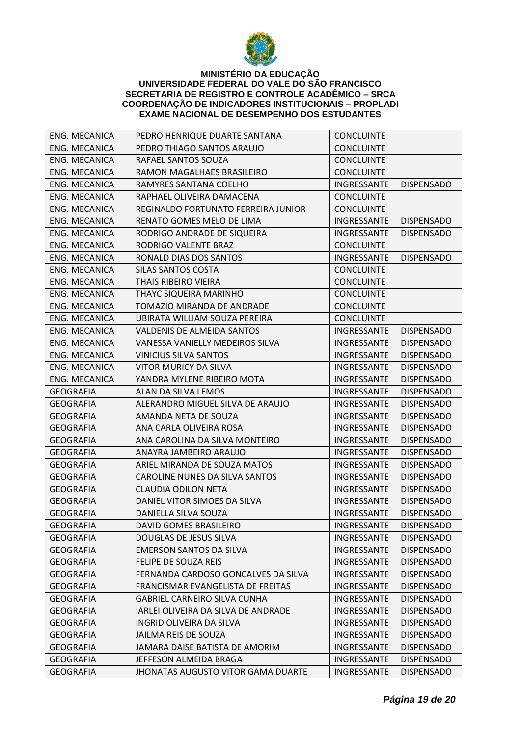

| <b>ENG. MECANICA</b> | PEDRO HENRIQUE DUARTE SANTANA             | <b>CONCLUINTE</b>  |                   |
|----------------------|-------------------------------------------|--------------------|-------------------|
| ENG. MECANICA        | PEDRO THIAGO SANTOS ARAUJO                | <b>CONCLUINTE</b>  |                   |
| ENG. MECANICA        | RAFAEL SANTOS SOUZA                       | <b>CONCLUINTE</b>  |                   |
| ENG. MECANICA        | RAMON MAGALHAES BRASILEIRO                | <b>CONCLUINTE</b>  |                   |
| <b>ENG. MECANICA</b> | RAMYRES SANTANA COELHO                    | INGRESSANTE        | <b>DISPENSADO</b> |
| <b>ENG. MECANICA</b> | RAPHAEL OLIVEIRA DAMACENA                 | <b>CONCLUINTE</b>  |                   |
| <b>ENG. MECANICA</b> | REGINALDO FORTUNATO FERREIRA JUNIOR       | <b>CONCLUINTE</b>  |                   |
| <b>ENG. MECANICA</b> | RENATO GOMES MELO DE LIMA                 | INGRESSANTE        | <b>DISPENSADO</b> |
| ENG. MECANICA        | RODRIGO ANDRADE DE SIQUEIRA               | INGRESSANTE        | <b>DISPENSADO</b> |
| <b>ENG. MECANICA</b> | RODRIGO VALENTE BRAZ                      | <b>CONCLUINTE</b>  |                   |
| <b>ENG. MECANICA</b> | RONALD DIAS DOS SANTOS                    | INGRESSANTE        | <b>DISPENSADO</b> |
| <b>ENG. MECANICA</b> | SILAS SANTOS COSTA                        | <b>CONCLUINTE</b>  |                   |
| <b>ENG. MECANICA</b> | THAIS RIBEIRO VIEIRA                      | <b>CONCLUINTE</b>  |                   |
| ENG. MECANICA        | <b>THAYC SIQUEIRA MARINHO</b>             | <b>CONCLUINTE</b>  |                   |
| <b>ENG. MECANICA</b> | TOMAZIO MIRANDA DE ANDRADE                | <b>CONCLUINTE</b>  |                   |
| <b>ENG. MECANICA</b> | UBIRATA WILLIAM SOUZA PEREIRA             | <b>CONCLUINTE</b>  |                   |
| ENG. MECANICA        | VALDENIS DE ALMEIDA SANTOS                | INGRESSANTE        | <b>DISPENSADO</b> |
| <b>ENG. MECANICA</b> | VANESSA VANIELLY MEDEIROS SILVA           | INGRESSANTE        | <b>DISPENSADO</b> |
| <b>ENG. MECANICA</b> | <b>VINICIUS SILVA SANTOS</b>              | INGRESSANTE        | <b>DISPENSADO</b> |
| <b>ENG. MECANICA</b> | <b>VITOR MURICY DA SILVA</b>              | INGRESSANTE        | <b>DISPENSADO</b> |
| ENG. MECANICA        | YANDRA MYLENE RIBEIRO MOTA                | INGRESSANTE        | <b>DISPENSADO</b> |
| <b>GEOGRAFIA</b>     | ALAN DA SILVA LEMOS                       | <b>INGRESSANTE</b> | <b>DISPENSADO</b> |
| <b>GEOGRAFIA</b>     | ALERANDRO MIGUEL SILVA DE ARAUJO          | INGRESSANTE        | <b>DISPENSADO</b> |
| <b>GEOGRAFIA</b>     | AMANDA NETA DE SOUZA                      | INGRESSANTE        | <b>DISPENSADO</b> |
| <b>GEOGRAFIA</b>     | ANA CARLA OLIVEIRA ROSA                   | INGRESSANTE        | <b>DISPENSADO</b> |
| <b>GEOGRAFIA</b>     | ANA CAROLINA DA SILVA MONTEIRO            | INGRESSANTE        | <b>DISPENSADO</b> |
| <b>GEOGRAFIA</b>     | ANAYRA JAMBEIRO ARAUJO                    | INGRESSANTE        | <b>DISPENSADO</b> |
| <b>GEOGRAFIA</b>     | ARIEL MIRANDA DE SOUZA MATOS              | INGRESSANTE        | <b>DISPENSADO</b> |
| <b>GEOGRAFIA</b>     | CAROLINE NUNES DA SILVA SANTOS            | INGRESSANTE        | <b>DISPENSADO</b> |
| <b>GEOGRAFIA</b>     | <b>CLAUDIA ODILON NETA</b>                | INGRESSANTE        | <b>DISPENSADO</b> |
| <b>GEOGRAFIA</b>     | DANIEL VITOR SIMOES DA SILVA              | INGRESSANTE        | <b>DISPENSADO</b> |
| <b>GEOGRAFIA</b>     | DANIELLA SILVA SOUZA                      | INGRESSANTE        | <b>DISPENSADO</b> |
| <b>GEOGRAFIA</b>     | DAVID GOMES BRASILEIRO                    | INGRESSANTE        | <b>DISPENSADO</b> |
| <b>GEOGRAFIA</b>     | DOUGLAS DE JESUS SILVA                    | INGRESSANTE        | <b>DISPENSADO</b> |
| <b>GEOGRAFIA</b>     | <b>EMERSON SANTOS DA SILVA</b>            | INGRESSANTE        | <b>DISPENSADO</b> |
| <b>GEOGRAFIA</b>     | FELIPE DE SOUZA REIS                      | <b>INGRESSANTE</b> | <b>DISPENSADO</b> |
| <b>GEOGRAFIA</b>     | FERNANDA CARDOSO GONCALVES DA SILVA       | INGRESSANTE        | <b>DISPENSADO</b> |
| <b>GEOGRAFIA</b>     | FRANCISMAR EVANGELISTA DE FREITAS         | INGRESSANTE        | <b>DISPENSADO</b> |
| GEOGRAFIA            | <b>GABRIEL CARNEIRO SILVA CUNHA</b>       | INGRESSANTE        | <b>DISPENSADO</b> |
| <b>GEOGRAFIA</b>     | IARLEI OLIVEIRA DA SILVA DE ANDRADE       | INGRESSANTE        | <b>DISPENSADO</b> |
| <b>GEOGRAFIA</b>     | INGRID OLIVEIRA DA SILVA                  | INGRESSANTE        | <b>DISPENSADO</b> |
| <b>GEOGRAFIA</b>     | JAILMA REIS DE SOUZA                      | <b>INGRESSANTE</b> | <b>DISPENSADO</b> |
| <b>GEOGRAFIA</b>     | JAMARA DAISE BATISTA DE AMORIM            | <b>INGRESSANTE</b> | <b>DISPENSADO</b> |
| <b>GEOGRAFIA</b>     | JEFFESON ALMEIDA BRAGA                    | INGRESSANTE        | <b>DISPENSADO</b> |
| <b>GEOGRAFIA</b>     | <b>JHONATAS AUGUSTO VITOR GAMA DUARTE</b> | INGRESSANTE        | <b>DISPENSADO</b> |